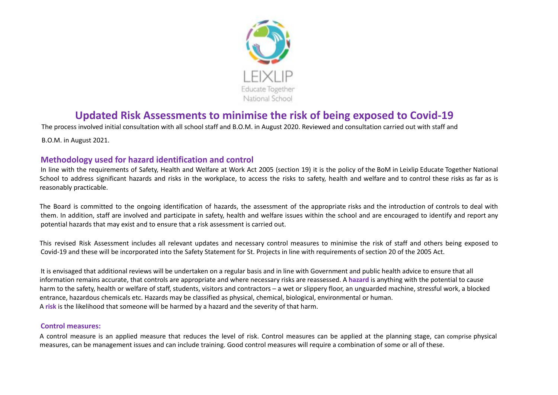

# **Updated Risk Assessments to minimise the risk of being exposed to Covid-19**

The process involved initial consultation with all school staff and B.O.M. in August 2020. Reviewed and consultation carried out with staff and

B.O.M. in August 2021.

## **Methodology used for hazard identification and control**

In line with the requirements of Safety, Health and Welfare at Work Act 2005 (section 19) it is the policy of the BoM in Leixlip Educate Together National School to address significant hazards and risks in the workplace, to access the risks to safety, health and welfare and to control these risks as far as is reasonably practicable.

The Board is committed to the ongoing identification of hazards, the assessment of the appropriate risks and the introduction of controls to deal with them. In addition, staff are involved and participate in safety, health and welfare issues within the school and are encouraged to identify and report any potential hazards that may exist and to ensure that a risk assessment is carried out.

This revised Risk Assessment includes all relevant updates and necessary control measures to minimise the risk of staff and others being exposed to Covid-19 and these will be incorporated into the Safety Statement for St. Projects in line with requirements of section 20 of the 2005 Act.

It is envisaged that additional reviews will be undertaken on a regular basis and in line with Government and public health advice to ensure that all information remains accurate, that controls are appropriate and where necessary risks are reassessed. A **hazard** is anything with the potential to cause harm to the safety, health or welfare of staff, students, visitors and contractors – a wet or slippery floor, an unguarded machine, stressful work, a blocked entrance, hazardous chemicals etc. Hazards may be classified as physical, chemical, biological, environmental or human. A **risk** is the likelihood that someone will be harmed by a hazard and the severity of that harm.

#### **Control measures:**

A control measure is an applied measure that reduces the level of risk. Control measures can be applied at the planning stage, can comprise physical measures, can be management issues and can include training. Good control measures will require a combination of some or all of these.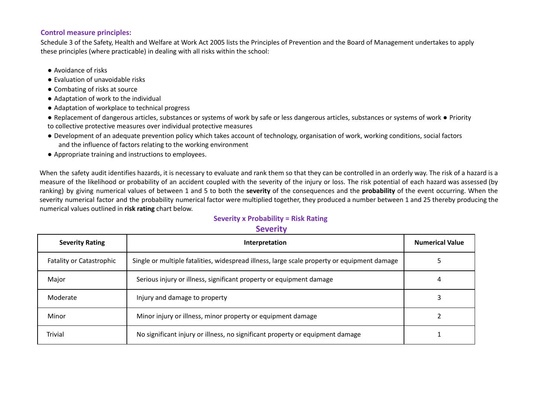#### **Control measure principles:**

Schedule 3 of the Safety, Health and Welfare at Work Act 2005 lists the Principles of Prevention and the Board of Management undertakes to apply these principles (where practicable) in dealing with all risks within the school:

- Avoidance of risks
- Evaluation of unavoidable risks
- Combating of risks at source
- Adaptation of work to the individual
- Adaptation of workplace to technical progress
- Replacement of dangerous articles, substances or systems of work by safe or less dangerous articles, substances or systems of work Priority to collective protective measures over individual protective measures
- Development of an adequate prevention policy which takes account of technology, organisation of work, working conditions, social factors and the influence of factors relating to the working environment
- Appropriate training and instructions to employees.

When the safety audit identifies hazards, it is necessary to evaluate and rank them so that they can be controlled in an orderly way. The risk of a hazard is a measure of the likelihood or probability of an accident coupled with the severity of the injury or loss. The risk potential of each hazard was assessed (by ranking) by giving numerical values of between 1 and 5 to both the **severity** of the consequences and the **probability** of the event occurring. When the severity numerical factor and the probability numerical factor were multiplied together, they produced a number between 1 and 25 thereby producing the numerical values outlined in **risk rating** chart below.

#### **Severity x Probability = Risk Rating**

#### **Severity**

| <b>Severity Rating</b>          | Interpretation                                                                              | <b>Numerical Value</b> |
|---------------------------------|---------------------------------------------------------------------------------------------|------------------------|
| <b>Fatality or Catastrophic</b> | Single or multiple fatalities, widespread illness, large scale property or equipment damage |                        |
| Major                           | Serious injury or illness, significant property or equipment damage                         | 4                      |
| Moderate                        | Injury and damage to property                                                               |                        |
| Minor                           | Minor injury or illness, minor property or equipment damage                                 |                        |
| <b>Trivial</b>                  | No significant injury or illness, no significant property or equipment damage               |                        |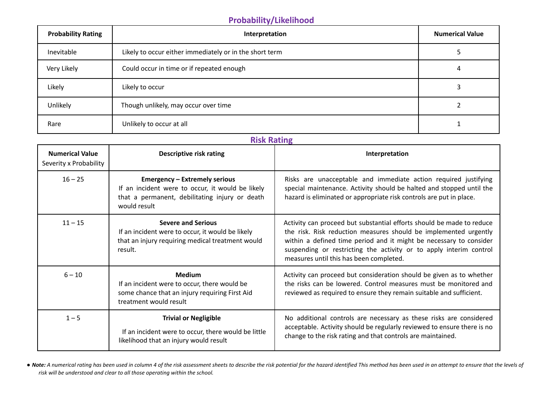# **Probability/Likelihood**

| <b>Probability Rating</b> | Interpretation                                          | <b>Numerical Value</b> |
|---------------------------|---------------------------------------------------------|------------------------|
| Inevitable                | Likely to occur either immediately or in the short term |                        |
| Very Likely               | Could occur in time or if repeated enough               | 4                      |
| Likely                    | Likely to occur                                         |                        |
| Unlikely                  | Though unlikely, may occur over time                    |                        |
| Rare                      | Unlikely to occur at all                                |                        |

## **Risk Rating**

| <b>Numerical Value</b><br>Severity x Probability | Descriptive risk rating                                                                                                                                    | Interpretation                                                                                                                                                                                                                                                                                                                   |
|--------------------------------------------------|------------------------------------------------------------------------------------------------------------------------------------------------------------|----------------------------------------------------------------------------------------------------------------------------------------------------------------------------------------------------------------------------------------------------------------------------------------------------------------------------------|
| $16 - 25$                                        | <b>Emergency - Extremely serious</b><br>If an incident were to occur, it would be likely<br>that a permanent, debilitating injury or death<br>would result | Risks are unacceptable and immediate action required justifying<br>special maintenance. Activity should be halted and stopped until the<br>hazard is eliminated or appropriate risk controls are put in place.                                                                                                                   |
| $11 - 15$                                        | <b>Severe and Serious</b><br>If an incident were to occur, it would be likely<br>that an injury requiring medical treatment would<br>result.               | Activity can proceed but substantial efforts should be made to reduce<br>the risk. Risk reduction measures should be implemented urgently<br>within a defined time period and it might be necessary to consider<br>suspending or restricting the activity or to apply interim control<br>measures until this has been completed. |
| $6 - 10$                                         | <b>Medium</b><br>If an incident were to occur, there would be<br>some chance that an injury requiring First Aid<br>treatment would result                  | Activity can proceed but consideration should be given as to whether<br>the risks can be lowered. Control measures must be monitored and<br>reviewed as required to ensure they remain suitable and sufficient.                                                                                                                  |
| $1 - 5$                                          | <b>Trivial or Negligible</b><br>If an incident were to occur, there would be little<br>likelihood that an injury would result                              | No additional controls are necessary as these risks are considered<br>acceptable. Activity should be regularly reviewed to ensure there is no<br>change to the risk rating and that controls are maintained.                                                                                                                     |

. Note: A numerical rating has been used in column 4 of the risk assessment sheets to describe the risk potential for the hazard identified This method has been used in an attempt to ensure that the levels of *risk will be understood and clear to all those operating within the school.*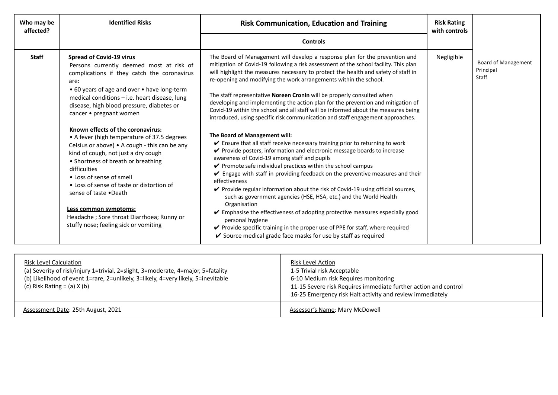| Who may be<br>affected? | <b>Identified Risks</b>                                                                                                                                                                                                                                                                                                                                                                                                                                                                                                                                                                                                                                                                                                                                        | <b>Risk Communication, Education and Training</b>                                                                                                                                                                                                                                                                                                                                                                                                                                                                                                                                                                                                                                                                                                                                                                                                                                                                                                                                                                                                                                                                                                                                                                                                                                                                                                                                                                                                                                                                                             | <b>Risk Rating</b><br>with controls |                                                  |
|-------------------------|----------------------------------------------------------------------------------------------------------------------------------------------------------------------------------------------------------------------------------------------------------------------------------------------------------------------------------------------------------------------------------------------------------------------------------------------------------------------------------------------------------------------------------------------------------------------------------------------------------------------------------------------------------------------------------------------------------------------------------------------------------------|-----------------------------------------------------------------------------------------------------------------------------------------------------------------------------------------------------------------------------------------------------------------------------------------------------------------------------------------------------------------------------------------------------------------------------------------------------------------------------------------------------------------------------------------------------------------------------------------------------------------------------------------------------------------------------------------------------------------------------------------------------------------------------------------------------------------------------------------------------------------------------------------------------------------------------------------------------------------------------------------------------------------------------------------------------------------------------------------------------------------------------------------------------------------------------------------------------------------------------------------------------------------------------------------------------------------------------------------------------------------------------------------------------------------------------------------------------------------------------------------------------------------------------------------------|-------------------------------------|--------------------------------------------------|
|                         |                                                                                                                                                                                                                                                                                                                                                                                                                                                                                                                                                                                                                                                                                                                                                                | <b>Controls</b>                                                                                                                                                                                                                                                                                                                                                                                                                                                                                                                                                                                                                                                                                                                                                                                                                                                                                                                                                                                                                                                                                                                                                                                                                                                                                                                                                                                                                                                                                                                               |                                     |                                                  |
| <b>Staff</b>            | <b>Spread of Covid-19 virus</b><br>Persons currently deemed most at risk of<br>complications if they catch the coronavirus<br>are:<br>• 60 years of age and over • have long-term<br>medical conditions - i.e. heart disease, lung<br>disease, high blood pressure, diabetes or<br>cancer • pregnant women<br>Known effects of the coronavirus:<br>• A fever (high temperature of 37.5 degrees<br>Celsius or above) • A cough - this can be any<br>kind of cough, not just a dry cough<br>• Shortness of breath or breathing<br>difficulties<br>• Loss of sense of smell<br>• Loss of sense of taste or distortion of<br>sense of taste .Death<br>Less common symptoms:<br>Headache ; Sore throat Diarrhoea; Runny or<br>stuffy nose; feeling sick or vomiting | The Board of Management will develop a response plan for the prevention and<br>mitigation of Covid-19 following a risk assessment of the school facility. This plan<br>will highlight the measures necessary to protect the health and safety of staff in<br>re-opening and modifying the work arrangements within the school.<br>The staff representative Noreen Cronin will be properly consulted when<br>developing and implementing the action plan for the prevention and mitigation of<br>Covid-19 within the school and all staff will be informed about the measures being<br>introduced, using specific risk communication and staff engagement approaches.<br>The Board of Management will:<br>✔ Ensure that all staff receive necessary training prior to returning to work<br>✔ Provide posters, information and electronic message boards to increase<br>awareness of Covid-19 among staff and pupils<br>$\checkmark$ Promote safe individual practices within the school campus<br>$\checkmark$ Engage with staff in providing feedback on the preventive measures and their<br>effectiveness<br>✔ Provide regular information about the risk of Covid-19 using official sources,<br>such as government agencies (HSE, HSA, etc.) and the World Health<br>Organisation<br>✔ Emphasise the effectiveness of adopting protective measures especially good<br>personal hygiene<br>✔ Provide specific training in the proper use of PPE for staff, where required<br>✔ Source medical grade face masks for use by staff as required | Negligible                          | <b>Board of Management</b><br>Principal<br>Staff |

| <b>Risk Level Calculation</b><br>(a) Severity of risk/injury 1=trivial, 2=slight, 3=moderate, 4=major, 5=fatality<br>(b) Likelihood of event 1=rare, 2=unlikely, 3=likely, 4=very likely, 5=inevitable<br>(c) Risk Rating $=$ (a) $X$ (b) | <u>Risk Level Action</u><br>1-5 Trivial risk Acceptable<br>6-10 Medium risk Requires monitoring<br>11-15 Severe risk Requires immediate further action and control<br>16-25 Emergency risk Halt activity and review immediately |
|-------------------------------------------------------------------------------------------------------------------------------------------------------------------------------------------------------------------------------------------|---------------------------------------------------------------------------------------------------------------------------------------------------------------------------------------------------------------------------------|
| Assessment Date: 25th August, 2021                                                                                                                                                                                                        | <b>Assessor's Name: Mary McDowell</b>                                                                                                                                                                                           |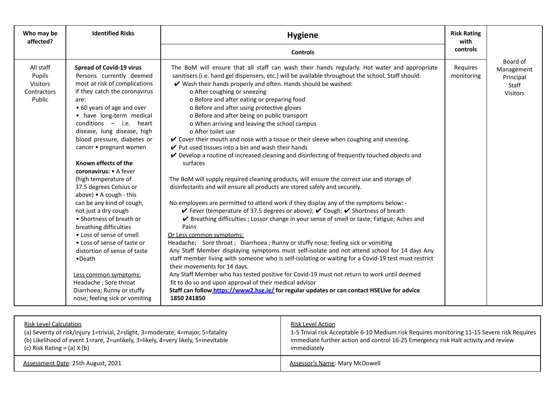| controls<br><b>Controls</b><br>Board of<br>All staff<br><b>Spread of Covid-19 virus</b><br>The BoM will ensure that all staff can wash their hands regularly. Hot water and appropriate<br>Requires<br>sanitisers (i.e. hand gel dispensers, etc.) will be available throughout the school. Staff should:<br>Persons currently deemed<br>Pupils<br>monitoring<br>most at risk of complications<br>V Wash their hands properly and often. Hands should be washed:<br><b>Visitors</b><br>if they catch the coronavirus<br>o After coughing or sneezing<br>Contractors<br>o Before and after eating or preparing food<br>Public<br>are:<br>• 60 years of age and over<br>o Before and after using protective gloves<br>• have long-term medical<br>o Before and after being on public transport<br>conditions $-$ i.e. heart<br>o When arriving and leaving the school campus<br>disease, lung disease, high<br>o After toilet use<br>blood pressure, diabetes or<br>✔ Cover their mouth and nose with a tissue or their sleeve when coughing and sneezing.<br>$\vee$ Put used tissues into a bin and wash their hands<br>cancer • pregnant women<br>$\vee$ Develop a routine of increased cleaning and disinfecting of frequently touched objects and<br>surfaces<br>Known effects of the<br>coronavirus: • A fever<br>(high temperature of<br>The BoM will supply required cleaning products, will ensure the correct use and storage of<br>disinfectants and will ensure all products are stored safely and securely.<br>37.5 degrees Celsius or<br>above) • A cough - this<br>can be any kind of cough,<br>No employees are permitted to attend work if they display any of the symptoms below: -<br>✔ Fever (temperature of 37.5 degrees or above); ✔ Cough; ✔ Shortness of breath<br>not just a dry cough<br>• Shortness of breath or<br>✔ Breathing difficulties ; Lossor change in your sense of smell or taste; Fatigue; Aches and<br>breathing difficulties<br>Pains | Who may be<br>affected? | <b>Identified Risks</b>  | <b>Risk Rating</b><br><b>Hygiene</b> |  |                                              |
|-----------------------------------------------------------------------------------------------------------------------------------------------------------------------------------------------------------------------------------------------------------------------------------------------------------------------------------------------------------------------------------------------------------------------------------------------------------------------------------------------------------------------------------------------------------------------------------------------------------------------------------------------------------------------------------------------------------------------------------------------------------------------------------------------------------------------------------------------------------------------------------------------------------------------------------------------------------------------------------------------------------------------------------------------------------------------------------------------------------------------------------------------------------------------------------------------------------------------------------------------------------------------------------------------------------------------------------------------------------------------------------------------------------------------------------------------------------------------------------------------------------------------------------------------------------------------------------------------------------------------------------------------------------------------------------------------------------------------------------------------------------------------------------------------------------------------------------------------------------------------------------------------------------------------------------------------------------------------------|-------------------------|--------------------------|--------------------------------------|--|----------------------------------------------|
|                                                                                                                                                                                                                                                                                                                                                                                                                                                                                                                                                                                                                                                                                                                                                                                                                                                                                                                                                                                                                                                                                                                                                                                                                                                                                                                                                                                                                                                                                                                                                                                                                                                                                                                                                                                                                                                                                                                                                                             |                         |                          |                                      |  |                                              |
| • Loss of sense of taste or<br>Headache; Sore throat; Diarrhoea; Runny or stuffy nose; feeling sick or vomiting<br>Any Staff Member displaying symptoms must self-isolate and not attend school for 14 days Any<br>distortion of sense of taste<br>staff member living with someone who is self-isolating or waiting for a Covid-19 test must restrict<br>$\bullet$ Death<br>their movements for 14 days.<br>Any Staff Member who has tested positive for Covid-19 must not return to work until deemed<br>Less common symptoms:<br>fit to do so and upon approval of their medical advisor<br>Headache; Sore throat<br>Staff can follow_https://www2.hse.ie/ for regular updates or can contact HSELive for advice<br>Diarrhoea; Runny or stuffy<br>nose; feeling sick or vomiting<br>1850 241850                                                                                                                                                                                                                                                                                                                                                                                                                                                                                                                                                                                                                                                                                                                                                                                                                                                                                                                                                                                                                                                                                                                                                                          |                         | • Loss of sense of smell | Or Less common symptoms:             |  | Management<br>Principal<br>Staff<br>Visitors |

| <b>Risk Level Calculation</b>                                                     | <u>Risk Level Action</u>                                                                    |
|-----------------------------------------------------------------------------------|---------------------------------------------------------------------------------------------|
| (a) Severity of risk/injury 1=trivial, 2=slight, 3=moderate, 4=major, 5=fatality  | 1-5 Trivial risk Acceptable 6-10 Medium risk Requires monitoring 11-15 Severe risk Requires |
| (b) Likelihood of event 1=rare, 2=unlikely, 3=likely, 4=very likely, 5=inevitable | immediate further action and control 16-25 Emergency risk Halt activity and review          |
| (c) Risk Rating = $(a)$ X $(b)$                                                   | immediately                                                                                 |
| Assessment Date: 25th August, 2021                                                | Assessor's Name: Mary McDowell                                                              |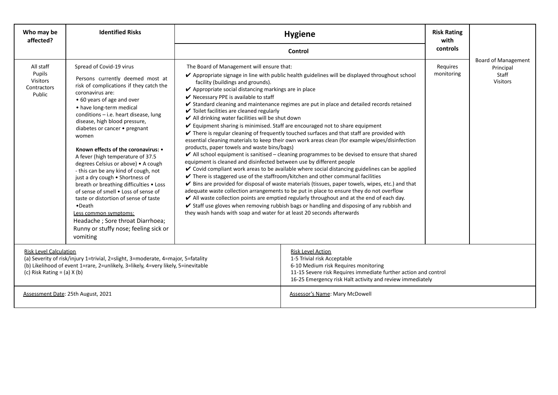| Who may be<br>affected?                                                                                                                                                                                                                   | <b>Identified Risks</b>                                                                                                                                                                                                                                                                                                                                                                                                                                                                                                                                                                                                                                                                                                                                                  | <b>Hygiene</b>                                                                                                                                                                                                                                                                                                                                                                                                                                                                                      |                                                                                                                                                                                                                                                                                                                                                                                                                                                                                                                                                                                                                                                                                                                                                                                                                                                                                                                                                                                                                                                                                                                                                                                                               | <b>Risk Rating</b><br>with             |  |
|-------------------------------------------------------------------------------------------------------------------------------------------------------------------------------------------------------------------------------------------|--------------------------------------------------------------------------------------------------------------------------------------------------------------------------------------------------------------------------------------------------------------------------------------------------------------------------------------------------------------------------------------------------------------------------------------------------------------------------------------------------------------------------------------------------------------------------------------------------------------------------------------------------------------------------------------------------------------------------------------------------------------------------|-----------------------------------------------------------------------------------------------------------------------------------------------------------------------------------------------------------------------------------------------------------------------------------------------------------------------------------------------------------------------------------------------------------------------------------------------------------------------------------------------------|---------------------------------------------------------------------------------------------------------------------------------------------------------------------------------------------------------------------------------------------------------------------------------------------------------------------------------------------------------------------------------------------------------------------------------------------------------------------------------------------------------------------------------------------------------------------------------------------------------------------------------------------------------------------------------------------------------------------------------------------------------------------------------------------------------------------------------------------------------------------------------------------------------------------------------------------------------------------------------------------------------------------------------------------------------------------------------------------------------------------------------------------------------------------------------------------------------------|----------------------------------------|--|
|                                                                                                                                                                                                                                           |                                                                                                                                                                                                                                                                                                                                                                                                                                                                                                                                                                                                                                                                                                                                                                          |                                                                                                                                                                                                                                                                                                                                                                                                                                                                                                     | controls                                                                                                                                                                                                                                                                                                                                                                                                                                                                                                                                                                                                                                                                                                                                                                                                                                                                                                                                                                                                                                                                                                                                                                                                      | <b>Board of Management</b>             |  |
| All staff<br>Pupils<br><b>Visitors</b><br>Contractors<br>Public                                                                                                                                                                           | Spread of Covid-19 virus<br>Persons currently deemed most at<br>risk of complications if they catch the<br>coronavirus are:<br>• 60 years of age and over<br>• have long-term medical<br>conditions - i.e. heart disease, lung<br>disease, high blood pressure,<br>diabetes or cancer • pregnant<br>women<br>Known effects of the coronavirus: •<br>A fever (high temperature of 37.5<br>degrees Celsius or above) • A cough<br>- this can be any kind of cough, not<br>just a dry cough . Shortness of<br>breath or breathing difficulties . Loss<br>of sense of smell . Loss of sense of<br>taste or distortion of sense of taste<br>$\bullet$ Death<br>Less common symptoms:<br>Headache; Sore throat Diarrhoea;<br>Runny or stuffy nose; feeling sick or<br>vomiting | The Board of Management will ensure that:<br>facility (buildings and grounds).<br>✔ Appropriate social distancing markings are in place<br>$\vee$ Necessary PPE is available to staff<br>$\checkmark$ Toilet facilities are cleaned regularly<br>✔ All drinking water facilities will be shut down<br>products, paper towels and waste bins/bags)<br>equipment is cleaned and disinfected between use by different people<br>they wash hands with soap and water for at least 20 seconds afterwards | ✔ Appropriate signage in line with public health guidelines will be displayed throughout school<br>✔ Standard cleaning and maintenance regimes are put in place and detailed records retained<br>✔ Equipment sharing is minimised. Staff are encouraged not to share equipment<br>$\checkmark$ There is regular cleaning of frequently touched surfaces and that staff are provided with<br>essential cleaning materials to keep their own work areas clean (for example wipes/disinfection<br>$\blacktriangleright$ All school equipment is sanitised – cleaning programmes to be devised to ensure that shared<br>✔ Covid compliant work areas to be available where social distancing guidelines can be applied<br>$\triangleright$ There is staggered use of the staffroom/kitchen and other communal facilities<br>Bins are provided for disposal of waste materials (tissues, paper towels, wipes, etc.) and that<br>adequate waste collection arrangements to be put in place to ensure they do not overflow<br>All waste collection points are emptied regularly throughout and at the end of each day.<br>✔ Staff use gloves when removing rubbish bags or handling and disposing of any rubbish and | monitoring<br>Staff<br><b>Visitors</b> |  |
| <b>Risk Level Calculation</b><br>(a) Severity of risk/injury 1=trivial, 2=slight, 3=moderate, 4=major, 5=fatality<br>(b) Likelihood of event 1=rare, 2=unlikely, 3=likely, 4=very likely, 5=inevitable<br>(c) Risk Rating = $(a)$ X $(b)$ |                                                                                                                                                                                                                                                                                                                                                                                                                                                                                                                                                                                                                                                                                                                                                                          | <b>Risk Level Action</b><br>1-5 Trivial risk Acceptable<br>6-10 Medium risk Requires monitoring<br>11-15 Severe risk Requires immediate further action and control<br>16-25 Emergency risk Halt activity and review immediately                                                                                                                                                                                                                                                                     |                                                                                                                                                                                                                                                                                                                                                                                                                                                                                                                                                                                                                                                                                                                                                                                                                                                                                                                                                                                                                                                                                                                                                                                                               |                                        |  |
|                                                                                                                                                                                                                                           | Assessment Date: 25th August, 2021                                                                                                                                                                                                                                                                                                                                                                                                                                                                                                                                                                                                                                                                                                                                       |                                                                                                                                                                                                                                                                                                                                                                                                                                                                                                     | Assessor's Name: Mary McDowell                                                                                                                                                                                                                                                                                                                                                                                                                                                                                                                                                                                                                                                                                                                                                                                                                                                                                                                                                                                                                                                                                                                                                                                |                                        |  |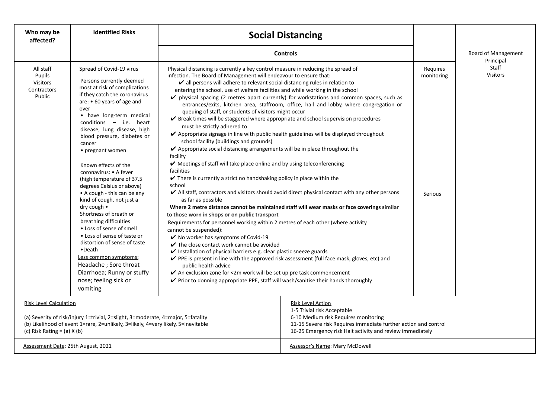| Who may be<br>affected?                                                                                                                                                                                  | <b>Identified Risks</b>                                                                                                                                                                                                                                                                                                                                                                                                                                                                                                                                                                                                                                                                                                                                                                                 | <b>Social Distancing</b>                                                                                                                                                                                                                                                                                                                                                                                                                                                                                                                                                                                                                                                                                                                                                                                                                                                                                                                                                                                                                                                                                                                                                                                                                                                                                                                                                                                                                                                                                                                                                                                            |                                                                                                                                                                                                                                                                                                                                                                                                       |                                   |                                         |
|----------------------------------------------------------------------------------------------------------------------------------------------------------------------------------------------------------|---------------------------------------------------------------------------------------------------------------------------------------------------------------------------------------------------------------------------------------------------------------------------------------------------------------------------------------------------------------------------------------------------------------------------------------------------------------------------------------------------------------------------------------------------------------------------------------------------------------------------------------------------------------------------------------------------------------------------------------------------------------------------------------------------------|---------------------------------------------------------------------------------------------------------------------------------------------------------------------------------------------------------------------------------------------------------------------------------------------------------------------------------------------------------------------------------------------------------------------------------------------------------------------------------------------------------------------------------------------------------------------------------------------------------------------------------------------------------------------------------------------------------------------------------------------------------------------------------------------------------------------------------------------------------------------------------------------------------------------------------------------------------------------------------------------------------------------------------------------------------------------------------------------------------------------------------------------------------------------------------------------------------------------------------------------------------------------------------------------------------------------------------------------------------------------------------------------------------------------------------------------------------------------------------------------------------------------------------------------------------------------------------------------------------------------|-------------------------------------------------------------------------------------------------------------------------------------------------------------------------------------------------------------------------------------------------------------------------------------------------------------------------------------------------------------------------------------------------------|-----------------------------------|-----------------------------------------|
|                                                                                                                                                                                                          |                                                                                                                                                                                                                                                                                                                                                                                                                                                                                                                                                                                                                                                                                                                                                                                                         | <b>Controls</b>                                                                                                                                                                                                                                                                                                                                                                                                                                                                                                                                                                                                                                                                                                                                                                                                                                                                                                                                                                                                                                                                                                                                                                                                                                                                                                                                                                                                                                                                                                                                                                                                     |                                                                                                                                                                                                                                                                                                                                                                                                       |                                   | <b>Board of Management</b><br>Principal |
| All staff<br>Pupils<br><b>Visitors</b><br>Contractors<br>Public                                                                                                                                          | Spread of Covid-19 virus<br>Persons currently deemed<br>most at risk of complications<br>if they catch the coronavirus<br>are: • 60 years of age and<br>over<br>• have long-term medical<br>conditions - i.e. heart<br>disease, lung disease, high<br>blood pressure, diabetes or<br>cancer<br>• pregnant women<br>Known effects of the<br>coronavirus: • A fever<br>(high temperature of 37.5)<br>degrees Celsius or above)<br>• A cough - this can be any<br>kind of cough, not just a<br>dry cough $\bullet$<br>Shortness of breath or<br>breathing difficulties<br>• Loss of sense of smell<br>• Loss of sense of taste or<br>distortion of sense of taste<br>$\bullet$ Death<br>Less common symptoms:<br>Headache ; Sore throat<br>Diarrhoea; Runny or stuffy<br>nose; feeling sick or<br>vomiting | Physical distancing is currently a key control measure in reducing the spread of<br>infection. The Board of Management will endeavour to ensure that:<br>$\vee$ all persons will adhere to relevant social distancing rules in relation to<br>entering the school, use of welfare facilities and while working in the school<br>queuing of staff, or students of visitors might occur<br>✔ Break times will be staggered where appropriate and school supervision procedures<br>must be strictly adhered to<br>Appropriate signage in line with public health guidelines will be displayed throughout<br>school facility (buildings and grounds)<br>✔ Appropriate social distancing arrangements will be in place throughout the<br>facility<br>✔ Meetings of staff will take place online and by using teleconferencing<br>facilities<br>$\checkmark$ There is currently a strict no handshaking policy in place within the<br>school<br>as far as possible<br>to those worn in shops or on public transport<br>Requirements for personnel working within 2 metres of each other (where activity<br>cannot be suspended):<br>$\checkmark$ No worker has symptoms of Covid-19<br>$\checkmark$ The close contact work cannot be avoided<br>$\triangleright$ Installation of physical barriers e.g. clear plastic sneeze guards<br>PPE is present in line with the approved risk assessment (full face mask, gloves, etc) and<br>public health advice<br>✔ An exclusion zone for <2m work will be set up pre task commencement<br>✔ Prior to donning appropriate PPE, staff will wash/sanitise their hands thoroughly | $\triangleright$ physical spacing (2 metres apart currently) for workstations and common spaces, such as<br>entrances/exits, kitchen area, staffroom, office, hall and lobby, where congregation or<br>All staff, contractors and visitors should avoid direct physical contact with any other persons<br>Where 2 metre distance cannot be maintained staff will wear masks or face coverings similar | Requires<br>monitoring<br>Serious | Staff<br><b>Visitors</b>                |
| <b>Risk Level Calculation</b>                                                                                                                                                                            |                                                                                                                                                                                                                                                                                                                                                                                                                                                                                                                                                                                                                                                                                                                                                                                                         | <b>Risk Level Action</b><br>1-5 Trivial risk Acceptable                                                                                                                                                                                                                                                                                                                                                                                                                                                                                                                                                                                                                                                                                                                                                                                                                                                                                                                                                                                                                                                                                                                                                                                                                                                                                                                                                                                                                                                                                                                                                             |                                                                                                                                                                                                                                                                                                                                                                                                       |                                   |                                         |
| (a) Severity of risk/injury 1=trivial, 2=slight, 3=moderate, 4=major, 5=fatality<br>(b) Likelihood of event 1=rare, 2=unlikely, 3=likely, 4=very likely, 5=inevitable<br>(c) Risk Rating $=$ (a) $X$ (b) |                                                                                                                                                                                                                                                                                                                                                                                                                                                                                                                                                                                                                                                                                                                                                                                                         | 6-10 Medium risk Requires monitoring<br>11-15 Severe risk Requires immediate further action and control<br>16-25 Emergency risk Halt activity and review immediately                                                                                                                                                                                                                                                                                                                                                                                                                                                                                                                                                                                                                                                                                                                                                                                                                                                                                                                                                                                                                                                                                                                                                                                                                                                                                                                                                                                                                                                |                                                                                                                                                                                                                                                                                                                                                                                                       |                                   |                                         |
| Assessment Date: 25th August, 2021                                                                                                                                                                       |                                                                                                                                                                                                                                                                                                                                                                                                                                                                                                                                                                                                                                                                                                                                                                                                         |                                                                                                                                                                                                                                                                                                                                                                                                                                                                                                                                                                                                                                                                                                                                                                                                                                                                                                                                                                                                                                                                                                                                                                                                                                                                                                                                                                                                                                                                                                                                                                                                                     | Assessor's Name: Mary McDowell                                                                                                                                                                                                                                                                                                                                                                        |                                   |                                         |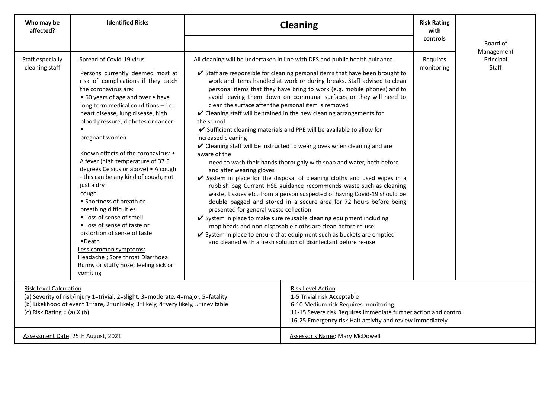| Who may be<br>affected?                                                                                                                                                                                                                   | <b>Identified Risks</b>                                                                                                                                                                                                                                                                                                                                                                                                                                                                                                                                                                                                                                                                                                                                             | <b>Cleaning</b>                                                                                                                                                                                                                 |                                                                                                                                                                                                                                                                                                                                                                                                                                                                                                                                                                                                                                                                                                                                                                                                                                                                                                                                                                                                                                                                                                                                                                                                                                                                                           | <b>Risk Rating</b><br>with<br>controls |                        |
|-------------------------------------------------------------------------------------------------------------------------------------------------------------------------------------------------------------------------------------------|---------------------------------------------------------------------------------------------------------------------------------------------------------------------------------------------------------------------------------------------------------------------------------------------------------------------------------------------------------------------------------------------------------------------------------------------------------------------------------------------------------------------------------------------------------------------------------------------------------------------------------------------------------------------------------------------------------------------------------------------------------------------|---------------------------------------------------------------------------------------------------------------------------------------------------------------------------------------------------------------------------------|-------------------------------------------------------------------------------------------------------------------------------------------------------------------------------------------------------------------------------------------------------------------------------------------------------------------------------------------------------------------------------------------------------------------------------------------------------------------------------------------------------------------------------------------------------------------------------------------------------------------------------------------------------------------------------------------------------------------------------------------------------------------------------------------------------------------------------------------------------------------------------------------------------------------------------------------------------------------------------------------------------------------------------------------------------------------------------------------------------------------------------------------------------------------------------------------------------------------------------------------------------------------------------------------|----------------------------------------|------------------------|
|                                                                                                                                                                                                                                           |                                                                                                                                                                                                                                                                                                                                                                                                                                                                                                                                                                                                                                                                                                                                                                     |                                                                                                                                                                                                                                 |                                                                                                                                                                                                                                                                                                                                                                                                                                                                                                                                                                                                                                                                                                                                                                                                                                                                                                                                                                                                                                                                                                                                                                                                                                                                                           |                                        | Board of<br>Management |
| Staff especially<br>cleaning staff                                                                                                                                                                                                        | Spread of Covid-19 virus<br>Persons currently deemed most at<br>risk of complications if they catch<br>the coronavirus are:<br>• 60 years of age and over • have<br>long-term medical conditions - i.e.<br>heart disease, lung disease, high<br>blood pressure, diabetes or cancer<br>pregnant women<br>Known effects of the coronavirus: •<br>A fever (high temperature of 37.5<br>degrees Celsius or above) . A cough<br>- this can be any kind of cough, not<br>just a dry<br>cough<br>• Shortness of breath or<br>breathing difficulties<br>• Loss of sense of smell<br>• Loss of sense of taste or<br>distortion of sense of taste<br>•Death<br>Less common symptoms:<br>Headache; Sore throat Diarrhoea;<br>Runny or stuffy nose; feeling sick or<br>vomiting | clean the surface after the personal item is removed<br>the school<br>increased cleaning<br>aware of the<br>and after wearing gloves<br>presented for general waste collection                                                  | All cleaning will be undertaken in line with DES and public health guidance.<br>✔ Staff are responsible for cleaning personal items that have been brought to<br>work and items handled at work or during breaks. Staff advised to clean<br>personal items that they have bring to work (e.g. mobile phones) and to<br>avoid leaving them down on communal surfaces or they will need to<br>✔ Cleaning staff will be trained in the new cleaning arrangements for<br>✔ Sufficient cleaning materials and PPE will be available to allow for<br>✔ Cleaning staff will be instructed to wear gloves when cleaning and are<br>need to wash their hands thoroughly with soap and water, both before<br>✔ System in place for the disposal of cleaning cloths and used wipes in a<br>rubbish bag Current HSE guidance recommends waste such as cleaning<br>waste, tissues etc. from a person suspected of having Covid-19 should be<br>double bagged and stored in a secure area for 72 hours before being<br>✔ System in place to make sure reusable cleaning equipment including<br>mop heads and non-disposable cloths are clean before re-use<br>✔ System in place to ensure that equipment such as buckets are emptied<br>and cleaned with a fresh solution of disinfectant before re-use | Requires<br>monitoring                 | Principal<br>Staff     |
| <b>Risk Level Calculation</b><br>(a) Severity of risk/injury 1=trivial, 2=slight, 3=moderate, 4=major, 5=fatality<br>(b) Likelihood of event 1=rare, 2=unlikely, 3=likely, 4=very likely, 5=inevitable<br>(c) Risk Rating = $(a)$ X $(b)$ |                                                                                                                                                                                                                                                                                                                                                                                                                                                                                                                                                                                                                                                                                                                                                                     | <b>Risk Level Action</b><br>1-5 Trivial risk Acceptable<br>6-10 Medium risk Requires monitoring<br>11-15 Severe risk Requires immediate further action and control<br>16-25 Emergency risk Halt activity and review immediately |                                                                                                                                                                                                                                                                                                                                                                                                                                                                                                                                                                                                                                                                                                                                                                                                                                                                                                                                                                                                                                                                                                                                                                                                                                                                                           |                                        |                        |
|                                                                                                                                                                                                                                           | Assessment Date: 25th August, 2021                                                                                                                                                                                                                                                                                                                                                                                                                                                                                                                                                                                                                                                                                                                                  |                                                                                                                                                                                                                                 | <b>Assessor's Name: Mary McDowell</b>                                                                                                                                                                                                                                                                                                                                                                                                                                                                                                                                                                                                                                                                                                                                                                                                                                                                                                                                                                                                                                                                                                                                                                                                                                                     |                                        |                        |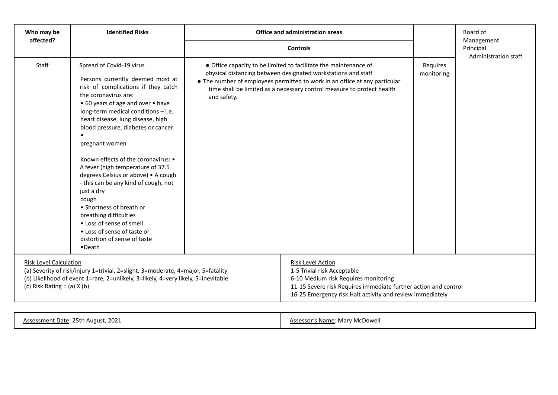| Who may be<br>affected?                                                                                                                                                                                                                   | <b>Identified Risks</b>                                                                                                                                                                                                                                                                                                                                                                                                                                                                                                                                                                                                                           | Office and administration areas                                                                                                                  |                                                                                                                                                                                                                                 |                        | Board of<br>Management            |
|-------------------------------------------------------------------------------------------------------------------------------------------------------------------------------------------------------------------------------------------|---------------------------------------------------------------------------------------------------------------------------------------------------------------------------------------------------------------------------------------------------------------------------------------------------------------------------------------------------------------------------------------------------------------------------------------------------------------------------------------------------------------------------------------------------------------------------------------------------------------------------------------------------|--------------------------------------------------------------------------------------------------------------------------------------------------|---------------------------------------------------------------------------------------------------------------------------------------------------------------------------------------------------------------------------------|------------------------|-----------------------------------|
|                                                                                                                                                                                                                                           |                                                                                                                                                                                                                                                                                                                                                                                                                                                                                                                                                                                                                                                   | <b>Controls</b>                                                                                                                                  |                                                                                                                                                                                                                                 |                        | Principal<br>Administration staff |
| Staff                                                                                                                                                                                                                                     | Spread of Covid-19 virus<br>Persons currently deemed most at<br>risk of complications if they catch<br>the coronavirus are:<br>• 60 years of age and over • have<br>long-term medical conditions - i.e.<br>heart disease, lung disease, high<br>blood pressure, diabetes or cancer<br>pregnant women<br>Known effects of the coronavirus: •<br>A fever (high temperature of 37.5<br>degrees Celsius or above) . A cough<br>- this can be any kind of cough, not<br>just a dry<br>cough<br>• Shortness of breath or<br>breathing difficulties<br>• Loss of sense of smell<br>• Loss of sense of taste or<br>distortion of sense of taste<br>•Death | • Office capacity to be limited to facilitate the maintenance of<br>physical distancing between designated workstations and staff<br>and safety. | • The number of employees permitted to work in an office at any particular<br>time shall be limited as a necessary control measure to protect health                                                                            | Requires<br>monitoring |                                   |
| <b>Risk Level Calculation</b><br>(a) Severity of risk/injury 1=trivial, 2=slight, 3=moderate, 4=major, 5=fatality<br>(b) Likelihood of event 1=rare, 2=unlikely, 3=likely, 4=very likely, 5=inevitable<br>(c) Risk Rating = $(a)$ X $(b)$ |                                                                                                                                                                                                                                                                                                                                                                                                                                                                                                                                                                                                                                                   |                                                                                                                                                  | <b>Risk Level Action</b><br>1-5 Trivial risk Acceptable<br>6-10 Medium risk Requires monitoring<br>11-15 Severe risk Requires immediate further action and control<br>16-25 Emergency risk Halt activity and review immediately |                        |                                   |

| Assessment Date: 25th August, 2021 | Assessor's Name: Mary McDowell |
|------------------------------------|--------------------------------|
|                                    |                                |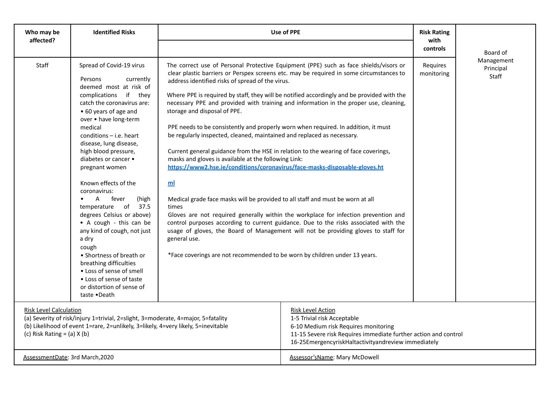| Who may be<br>affected?                                                                                                                                                                                                                   | <b>Identified Risks</b>                                                                                                                                                                                                                                                                                                                                                                                                                                                                                                                                                                                                                                                           | Use of PPE                                                                                                                                                                                                                                                                                                                                                                                                                                                                                                                                                                                                                                                                   | <b>Risk Rating</b><br>with                                                                                                                                                                                                                                                                                                                                                                                                                                                                                                                                                                                                                   |                        |                                  |
|-------------------------------------------------------------------------------------------------------------------------------------------------------------------------------------------------------------------------------------------|-----------------------------------------------------------------------------------------------------------------------------------------------------------------------------------------------------------------------------------------------------------------------------------------------------------------------------------------------------------------------------------------------------------------------------------------------------------------------------------------------------------------------------------------------------------------------------------------------------------------------------------------------------------------------------------|------------------------------------------------------------------------------------------------------------------------------------------------------------------------------------------------------------------------------------------------------------------------------------------------------------------------------------------------------------------------------------------------------------------------------------------------------------------------------------------------------------------------------------------------------------------------------------------------------------------------------------------------------------------------------|----------------------------------------------------------------------------------------------------------------------------------------------------------------------------------------------------------------------------------------------------------------------------------------------------------------------------------------------------------------------------------------------------------------------------------------------------------------------------------------------------------------------------------------------------------------------------------------------------------------------------------------------|------------------------|----------------------------------|
|                                                                                                                                                                                                                                           |                                                                                                                                                                                                                                                                                                                                                                                                                                                                                                                                                                                                                                                                                   |                                                                                                                                                                                                                                                                                                                                                                                                                                                                                                                                                                                                                                                                              | controls                                                                                                                                                                                                                                                                                                                                                                                                                                                                                                                                                                                                                                     | Board of               |                                  |
| Staff                                                                                                                                                                                                                                     | Spread of Covid-19 virus<br>Persons<br>currently<br>deemed most at risk of<br>complications if they<br>catch the coronavirus are:<br>• 60 years of age and<br>over . have long-term<br>medical<br>$conditions - i.e. heart$<br>disease, lung disease,<br>high blood pressure,<br>diabetes or cancer •<br>pregnant women<br>Known effects of the<br>coronavirus:<br>fever<br>(high<br>A<br>temperature of 37.5<br>degrees Celsius or above)<br>• A cough - this can be<br>any kind of cough, not just<br>a dry<br>cough<br>• Shortness of breath or<br>breathing difficulties<br>• Loss of sense of smell<br>• Loss of sense of taste<br>or distortion of sense of<br>taste .Death | address identified risks of spread of the virus.<br>storage and disposal of PPE.<br>PPE needs to be consistently and properly worn when required. In addition, it must<br>be regularly inspected, cleaned, maintained and replaced as necessary.<br>Current general guidance from the HSE in relation to the wearing of face coverings,<br>masks and gloves is available at the following Link:<br>https://www2.hse.ie/conditions/coronavirus/face-masks-disposable-gloves.ht<br>ml<br>Medical grade face masks will be provided to all staff and must be worn at all<br>times<br>general use.<br>*Face coverings are not recommended to be worn by children under 13 years. | The correct use of Personal Protective Equipment (PPE) such as face shields/visors or<br>clear plastic barriers or Perspex screens etc. may be required in some circumstances to<br>Where PPE is required by staff, they will be notified accordingly and be provided with the<br>necessary PPE and provided with training and information in the proper use, cleaning,<br>Gloves are not required generally within the workplace for infection prevention and<br>control purposes according to current guidance. Due to the risks associated with the<br>usage of gloves, the Board of Management will not be providing gloves to staff for | Requires<br>monitoring | Management<br>Principal<br>Staff |
| <b>Risk Level Calculation</b><br>(a) Severity of risk/injury 1=trivial, 2=slight, 3=moderate, 4=major, 5=fatality<br>(b) Likelihood of event 1=rare, 2=unlikely, 3=likely, 4=very likely, 5=inevitable<br>(c) Risk Rating = $(a)$ X $(b)$ |                                                                                                                                                                                                                                                                                                                                                                                                                                                                                                                                                                                                                                                                                   | <b>Risk Level Action</b><br>1-5 Trivial risk Acceptable<br>6-10 Medium risk Requires monitoring<br>11-15 Severe risk Requires immediate further action and control<br>16-25EmergencyriskHaltactivityandreview immediately                                                                                                                                                                                                                                                                                                                                                                                                                                                    |                                                                                                                                                                                                                                                                                                                                                                                                                                                                                                                                                                                                                                              |                        |                                  |
| AssessmentDate: 3rd March, 2020                                                                                                                                                                                                           |                                                                                                                                                                                                                                                                                                                                                                                                                                                                                                                                                                                                                                                                                   |                                                                                                                                                                                                                                                                                                                                                                                                                                                                                                                                                                                                                                                                              | Assessor's Name: Mary McDowell                                                                                                                                                                                                                                                                                                                                                                                                                                                                                                                                                                                                               |                        |                                  |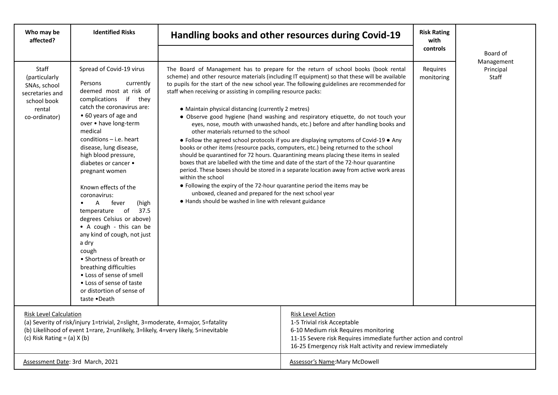| Who may be<br>affected?                                                                                                                                                                                                                   | <b>Identified Risks</b>                                                                                                                                                                                                                                                                                                                                                                                                                                                                                                                                                                                                                                                                                 |                                                                                                                                                                                                                                                                                                                                                                                                                                                                                                                                                                                                                                                                                                                                                                                                                                                                                                                                                                                                                                                                                                                                                                                                                                                                                                                               | Handling books and other resources during Covid-19 |                        |                                  |
|-------------------------------------------------------------------------------------------------------------------------------------------------------------------------------------------------------------------------------------------|---------------------------------------------------------------------------------------------------------------------------------------------------------------------------------------------------------------------------------------------------------------------------------------------------------------------------------------------------------------------------------------------------------------------------------------------------------------------------------------------------------------------------------------------------------------------------------------------------------------------------------------------------------------------------------------------------------|-------------------------------------------------------------------------------------------------------------------------------------------------------------------------------------------------------------------------------------------------------------------------------------------------------------------------------------------------------------------------------------------------------------------------------------------------------------------------------------------------------------------------------------------------------------------------------------------------------------------------------------------------------------------------------------------------------------------------------------------------------------------------------------------------------------------------------------------------------------------------------------------------------------------------------------------------------------------------------------------------------------------------------------------------------------------------------------------------------------------------------------------------------------------------------------------------------------------------------------------------------------------------------------------------------------------------------|----------------------------------------------------|------------------------|----------------------------------|
| Staff<br>(particularly<br>SNAs, school<br>secretaries and<br>school book<br>rental<br>co-ordinator)                                                                                                                                       | Spread of Covid-19 virus<br>Persons<br>currently<br>deemed most at risk of<br>complications if they<br>catch the coronavirus are:<br>• 60 years of age and<br>over . have long-term<br>medical<br>$conditions - i.e. heart$<br>disease, lung disease,<br>high blood pressure,<br>diabetes or cancer •<br>pregnant women<br>Known effects of the<br>coronavirus:<br>fever<br>$\mathsf{A}$<br>(high<br>$\circ$<br>temperature<br>37.5<br>degrees Celsius or above)<br>• A cough - this can be<br>any kind of cough, not just<br>a dry<br>cough<br>• Shortness of breath or<br>breathing difficulties<br>• Loss of sense of smell<br>• Loss of sense of taste<br>or distortion of sense of<br>taste •Death | controls<br>The Board of Management has to prepare for the return of school books (book rental<br>scheme) and other resource materials (including IT equipment) so that these will be available<br>to pupils for the start of the new school year. The following guidelines are recommended for<br>staff when receiving or assisting in compiling resource packs:<br>• Maintain physical distancing (currently 2 metres)<br>· Observe good hygiene (hand washing and respiratory etiquette, do not touch your<br>eyes, nose, mouth with unwashed hands, etc.) before and after handling books and<br>other materials returned to the school<br>• Follow the agreed school protocols if you are displaying symptoms of Covid-19 • Any<br>books or other items (resource packs, computers, etc.) being returned to the school<br>should be quarantined for 72 hours. Quarantining means placing these items in sealed<br>boxes that are labelled with the time and date of the start of the 72-hour quarantine<br>period. These boxes should be stored in a separate location away from active work areas<br>within the school<br>• Following the expiry of the 72-hour quarantine period the items may be<br>unboxed, cleaned and prepared for the next school year<br>. Hands should be washed in line with relevant guidance |                                                    | Requires<br>monitoring | Management<br>Principal<br>Staff |
| <b>Risk Level Calculation</b><br>(a) Severity of risk/injury 1=trivial, 2=slight, 3=moderate, 4=major, 5=fatality<br>(b) Likelihood of event 1=rare, 2=unlikely, 3=likely, 4=very likely, 5=inevitable<br>(c) Risk Rating = $(a)$ X $(b)$ |                                                                                                                                                                                                                                                                                                                                                                                                                                                                                                                                                                                                                                                                                                         | <b>Risk Level Action</b><br>1-5 Trivial risk Acceptable<br>6-10 Medium risk Requires monitoring<br>11-15 Severe risk Requires immediate further action and control<br>16-25 Emergency risk Halt activity and review immediately                                                                                                                                                                                                                                                                                                                                                                                                                                                                                                                                                                                                                                                                                                                                                                                                                                                                                                                                                                                                                                                                                               |                                                    |                        |                                  |
| Assessment Date: 3rd March, 2021                                                                                                                                                                                                          |                                                                                                                                                                                                                                                                                                                                                                                                                                                                                                                                                                                                                                                                                                         |                                                                                                                                                                                                                                                                                                                                                                                                                                                                                                                                                                                                                                                                                                                                                                                                                                                                                                                                                                                                                                                                                                                                                                                                                                                                                                                               | <b>Assessor's Name: Mary McDowell</b>              |                        |                                  |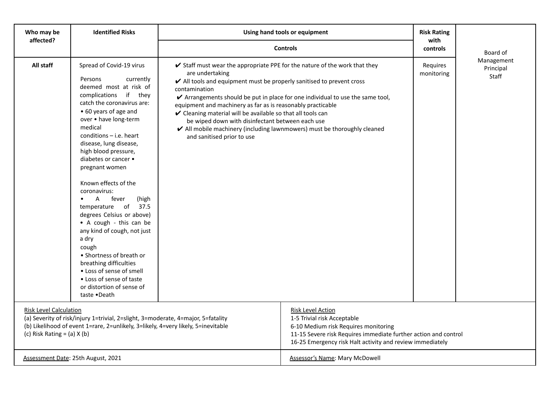| Who may be                                                                                                                                                                                                                                | <b>Identified Risks</b>                                                                                                                                                                                                                                                                                                                                                                                                                                                                                                                                                                                                                                                                      | Using hand tools or equipment                                                                                                                                                                                                                                                                                                                                                                           | <b>Risk Rating</b>                                                                                                                                         |                        |                                  |
|-------------------------------------------------------------------------------------------------------------------------------------------------------------------------------------------------------------------------------------------|----------------------------------------------------------------------------------------------------------------------------------------------------------------------------------------------------------------------------------------------------------------------------------------------------------------------------------------------------------------------------------------------------------------------------------------------------------------------------------------------------------------------------------------------------------------------------------------------------------------------------------------------------------------------------------------------|---------------------------------------------------------------------------------------------------------------------------------------------------------------------------------------------------------------------------------------------------------------------------------------------------------------------------------------------------------------------------------------------------------|------------------------------------------------------------------------------------------------------------------------------------------------------------|------------------------|----------------------------------|
| affected?                                                                                                                                                                                                                                 |                                                                                                                                                                                                                                                                                                                                                                                                                                                                                                                                                                                                                                                                                              | <b>Controls</b>                                                                                                                                                                                                                                                                                                                                                                                         | with<br>controls                                                                                                                                           | Board of               |                                  |
| All staff                                                                                                                                                                                                                                 | Spread of Covid-19 virus<br>currently<br>Persons<br>deemed most at risk of<br>complications if they<br>catch the coronavirus are:<br>• 60 years of age and<br>over . have long-term<br>medical<br>$conditions - i.e. heart$<br>disease, lung disease,<br>high blood pressure,<br>diabetes or cancer •<br>pregnant women<br>Known effects of the<br>coronavirus:<br>$\mathsf{A}$<br>fever<br>(high<br>temperature of 37.5<br>degrees Celsius or above)<br>• A cough - this can be<br>any kind of cough, not just<br>a dry<br>cough<br>• Shortness of breath or<br>breathing difficulties<br>• Loss of sense of smell<br>• Loss of sense of taste<br>or distortion of sense of<br>taste •Death | ✔ Staff must wear the appropriate PPE for the nature of the work that they<br>are undertaking<br>✔ All tools and equipment must be properly sanitised to prevent cross<br>contamination<br>equipment and machinery as far as is reasonably practicable<br>✔ Cleaning material will be available so that all tools can<br>be wiped down with disinfectant between each use<br>and sanitised prior to use | ✔ Arrangements should be put in place for one individual to use the same tool,<br>✔ All mobile machinery (including lawnmowers) must be thoroughly cleaned | Requires<br>monitoring | Management<br>Principal<br>Staff |
| <b>Risk Level Calculation</b><br>(a) Severity of risk/injury 1=trivial, 2=slight, 3=moderate, 4=major, 5=fatality<br>(b) Likelihood of event 1=rare, 2=unlikely, 3=likely, 4=very likely, 5=inevitable<br>(c) Risk Rating = $(a)$ X $(b)$ |                                                                                                                                                                                                                                                                                                                                                                                                                                                                                                                                                                                                                                                                                              | <b>Risk Level Action</b><br>1-5 Trivial risk Acceptable<br>6-10 Medium risk Requires monitoring<br>11-15 Severe risk Requires immediate further action and control<br>16-25 Emergency risk Halt activity and review immediately                                                                                                                                                                         |                                                                                                                                                            |                        |                                  |
|                                                                                                                                                                                                                                           | Assessment Date: 25th August, 2021                                                                                                                                                                                                                                                                                                                                                                                                                                                                                                                                                                                                                                                           |                                                                                                                                                                                                                                                                                                                                                                                                         | <b>Assessor's Name: Mary McDowell</b>                                                                                                                      |                        |                                  |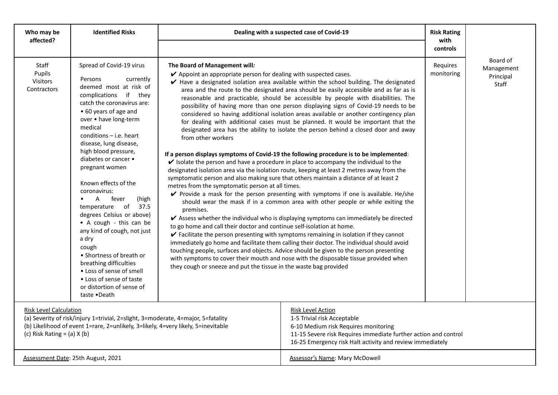| Who may be<br>affected?                                                                                                                                                                                                                   | <b>Identified Risks</b>                                                                                                                                                                                                                                                                                                                                                                                                                                                                                                                                                                                                                                                                      | Dealing with a suspected case of Covid-19                                                                                                                                                                                                                                                                                               |                                                                                                                                                                                                                                                                                                                                                                                                                                                                                                                                                                                                                                                                                                                                                                                                                                                                                                                                                                                                                                                                                                                                                                                                                                                                                                                                                                                                                                                                                                                                                                                                                                                                      |                        |                                              |
|-------------------------------------------------------------------------------------------------------------------------------------------------------------------------------------------------------------------------------------------|----------------------------------------------------------------------------------------------------------------------------------------------------------------------------------------------------------------------------------------------------------------------------------------------------------------------------------------------------------------------------------------------------------------------------------------------------------------------------------------------------------------------------------------------------------------------------------------------------------------------------------------------------------------------------------------------|-----------------------------------------------------------------------------------------------------------------------------------------------------------------------------------------------------------------------------------------------------------------------------------------------------------------------------------------|----------------------------------------------------------------------------------------------------------------------------------------------------------------------------------------------------------------------------------------------------------------------------------------------------------------------------------------------------------------------------------------------------------------------------------------------------------------------------------------------------------------------------------------------------------------------------------------------------------------------------------------------------------------------------------------------------------------------------------------------------------------------------------------------------------------------------------------------------------------------------------------------------------------------------------------------------------------------------------------------------------------------------------------------------------------------------------------------------------------------------------------------------------------------------------------------------------------------------------------------------------------------------------------------------------------------------------------------------------------------------------------------------------------------------------------------------------------------------------------------------------------------------------------------------------------------------------------------------------------------------------------------------------------------|------------------------|----------------------------------------------|
|                                                                                                                                                                                                                                           |                                                                                                                                                                                                                                                                                                                                                                                                                                                                                                                                                                                                                                                                                              |                                                                                                                                                                                                                                                                                                                                         |                                                                                                                                                                                                                                                                                                                                                                                                                                                                                                                                                                                                                                                                                                                                                                                                                                                                                                                                                                                                                                                                                                                                                                                                                                                                                                                                                                                                                                                                                                                                                                                                                                                                      | with<br>controls       |                                              |
| Staff<br>Pupils<br>Visitors<br>Contractors                                                                                                                                                                                                | Spread of Covid-19 virus<br>Persons<br>currently<br>deemed most at risk of<br>complications if they<br>catch the coronavirus are:<br>• 60 years of age and<br>over . have long-term<br>medical<br>conditions $-$ i.e. heart<br>disease, lung disease,<br>high blood pressure,<br>diabetes or cancer •<br>pregnant women<br>Known effects of the<br>coronavirus:<br>$\mathsf{A}$<br>fever<br>(high<br>temperature of 37.5<br>degrees Celsius or above)<br>• A cough - this can be<br>any kind of cough, not just<br>a dry<br>cough<br>• Shortness of breath or<br>breathing difficulties<br>• Loss of sense of smell<br>• Loss of sense of taste<br>or distortion of sense of<br>taste •Death | The Board of Management will:<br>✔ Appoint an appropriate person for dealing with suspected cases.<br>from other workers<br>metres from the symptomatic person at all times.<br>premises.<br>to go home and call their doctor and continue self-isolation at home.<br>they cough or sneeze and put the tissue in the waste bag provided | Have a designated isolation area available within the school building. The designated<br>area and the route to the designated area should be easily accessible and as far as is<br>reasonable and practicable, should be accessible by people with disabilities. The<br>possibility of having more than one person displaying signs of Covid-19 needs to be<br>considered so having additional isolation areas available or another contingency plan<br>for dealing with additional cases must be planned. It would be important that the<br>designated area has the ability to isolate the person behind a closed door and away<br>If a person displays symptoms of Covid-19 the following procedure is to be implemented:<br>$\checkmark$ Isolate the person and have a procedure in place to accompany the individual to the<br>designated isolation area via the isolation route, keeping at least 2 metres away from the<br>symptomatic person and also making sure that others maintain a distance of at least 2<br>✔ Provide a mask for the person presenting with symptoms if one is available. He/she<br>should wear the mask if in a common area with other people or while exiting the<br>✔ Assess whether the individual who is displaying symptoms can immediately be directed<br>✔ Facilitate the person presenting with symptoms remaining in isolation if they cannot<br>immediately go home and facilitate them calling their doctor. The individual should avoid<br>touching people, surfaces and objects. Advice should be given to the person presenting<br>with symptoms to cover their mouth and nose with the disposable tissue provided when | Requires<br>monitoring | Board of<br>Management<br>Principal<br>Staff |
| <b>Risk Level Calculation</b><br>(a) Severity of risk/injury 1=trivial, 2=slight, 3=moderate, 4=major, 5=fatality<br>(b) Likelihood of event 1=rare, 2=unlikely, 3=likely, 4=very likely, 5=inevitable<br>(c) Risk Rating = $(a)$ X $(b)$ |                                                                                                                                                                                                                                                                                                                                                                                                                                                                                                                                                                                                                                                                                              | <b>Risk Level Action</b><br>1-5 Trivial risk Acceptable<br>6-10 Medium risk Requires monitoring<br>11-15 Severe risk Requires immediate further action and control<br>16-25 Emergency risk Halt activity and review immediately                                                                                                         |                                                                                                                                                                                                                                                                                                                                                                                                                                                                                                                                                                                                                                                                                                                                                                                                                                                                                                                                                                                                                                                                                                                                                                                                                                                                                                                                                                                                                                                                                                                                                                                                                                                                      |                        |                                              |
|                                                                                                                                                                                                                                           | Assessment Date: 25th August, 2021                                                                                                                                                                                                                                                                                                                                                                                                                                                                                                                                                                                                                                                           |                                                                                                                                                                                                                                                                                                                                         | <b>Assessor's Name: Mary McDowell</b>                                                                                                                                                                                                                                                                                                                                                                                                                                                                                                                                                                                                                                                                                                                                                                                                                                                                                                                                                                                                                                                                                                                                                                                                                                                                                                                                                                                                                                                                                                                                                                                                                                |                        |                                              |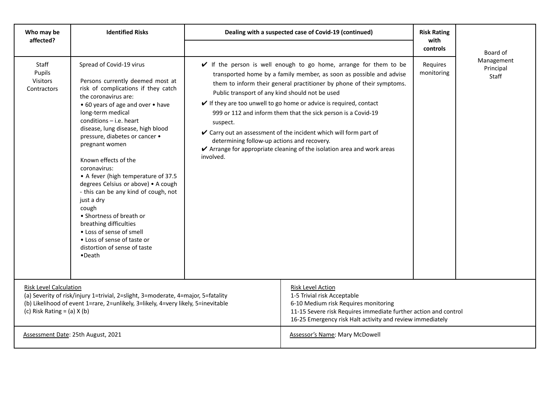| Who may be<br>affected?                                                                                                                                                                                                                   | <b>Identified Risks</b>                                                                                                                                                                                                                                                                                                                                                                                                                                                                                                                                                                                                                                              | Dealing with a suspected case of Covid-19 (continued)                                                                                                                                                                           | <b>Risk Rating</b><br>with                                                                                                                                                                                                                                                                                                                                                                                                                                                                                                     |                        |                                  |
|-------------------------------------------------------------------------------------------------------------------------------------------------------------------------------------------------------------------------------------------|----------------------------------------------------------------------------------------------------------------------------------------------------------------------------------------------------------------------------------------------------------------------------------------------------------------------------------------------------------------------------------------------------------------------------------------------------------------------------------------------------------------------------------------------------------------------------------------------------------------------------------------------------------------------|---------------------------------------------------------------------------------------------------------------------------------------------------------------------------------------------------------------------------------|--------------------------------------------------------------------------------------------------------------------------------------------------------------------------------------------------------------------------------------------------------------------------------------------------------------------------------------------------------------------------------------------------------------------------------------------------------------------------------------------------------------------------------|------------------------|----------------------------------|
|                                                                                                                                                                                                                                           |                                                                                                                                                                                                                                                                                                                                                                                                                                                                                                                                                                                                                                                                      |                                                                                                                                                                                                                                 |                                                                                                                                                                                                                                                                                                                                                                                                                                                                                                                                | controls               | Board of                         |
| Staff<br>Pupils<br>Visitors<br>Contractors                                                                                                                                                                                                | Spread of Covid-19 virus<br>Persons currently deemed most at<br>risk of complications if they catch<br>the coronavirus are:<br>• 60 years of age and over • have<br>long-term medical<br>$conditions - i.e.$ heart<br>disease, lung disease, high blood<br>pressure, diabetes or cancer .<br>pregnant women<br>Known effects of the<br>coronavirus:<br>• A fever (high temperature of 37.5<br>degrees Celsius or above) . A cough<br>- this can be any kind of cough, not<br>just a dry<br>cough<br>• Shortness of breath or<br>breathing difficulties<br>• Loss of sense of smell<br>• Loss of sense of taste or<br>distortion of sense of taste<br>$\bullet$ Death | Public transport of any kind should not be used<br>suspect.<br>determining follow-up actions and recovery.<br>involved.                                                                                                         | $\checkmark$ If the person is well enough to go home, arrange for them to be<br>transported home by a family member, as soon as possible and advise<br>them to inform their general practitioner by phone of their symptoms.<br>$\checkmark$ If they are too unwell to go home or advice is required, contact<br>999 or 112 and inform them that the sick person is a Covid-19<br>✔ Carry out an assessment of the incident which will form part of<br>✔ Arrange for appropriate cleaning of the isolation area and work areas | Requires<br>monitoring | Management<br>Principal<br>Staff |
| <b>Risk Level Calculation</b><br>(a) Severity of risk/injury 1=trivial, 2=slight, 3=moderate, 4=major, 5=fatality<br>(b) Likelihood of event 1=rare, 2=unlikely, 3=likely, 4=very likely, 5=inevitable<br>(c) Risk Rating = $(a)$ X $(b)$ |                                                                                                                                                                                                                                                                                                                                                                                                                                                                                                                                                                                                                                                                      | <b>Risk Level Action</b><br>1-5 Trivial risk Acceptable<br>6-10 Medium risk Requires monitoring<br>11-15 Severe risk Requires immediate further action and control<br>16-25 Emergency risk Halt activity and review immediately |                                                                                                                                                                                                                                                                                                                                                                                                                                                                                                                                |                        |                                  |
|                                                                                                                                                                                                                                           | Assessment Date: 25th August, 2021                                                                                                                                                                                                                                                                                                                                                                                                                                                                                                                                                                                                                                   |                                                                                                                                                                                                                                 | Assessor's Name: Mary McDowell                                                                                                                                                                                                                                                                                                                                                                                                                                                                                                 |                        |                                  |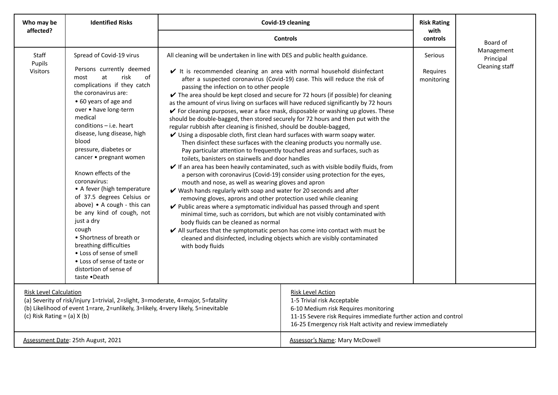| Who may be                                                                                                                                                                                                                                | <b>Identified Risks</b>                                                                                                                                                                                                                                                                                                                                                                                                                                                                                                                                                                                                                                                          | Covid-19 cleaning                                                                                                                                                                                                                                                                                                                                                                                                                                                                                                                                                                                                                                                                                                                                                                                                                                                                                                                                                                                                                                                                                                                                                                                                                                                                                                               | <b>Risk Rating</b><br>with                                                                                                                                                                                                                                                                                                                                                                                                                                                                                        |                                          |                                           |  |  |
|-------------------------------------------------------------------------------------------------------------------------------------------------------------------------------------------------------------------------------------------|----------------------------------------------------------------------------------------------------------------------------------------------------------------------------------------------------------------------------------------------------------------------------------------------------------------------------------------------------------------------------------------------------------------------------------------------------------------------------------------------------------------------------------------------------------------------------------------------------------------------------------------------------------------------------------|---------------------------------------------------------------------------------------------------------------------------------------------------------------------------------------------------------------------------------------------------------------------------------------------------------------------------------------------------------------------------------------------------------------------------------------------------------------------------------------------------------------------------------------------------------------------------------------------------------------------------------------------------------------------------------------------------------------------------------------------------------------------------------------------------------------------------------------------------------------------------------------------------------------------------------------------------------------------------------------------------------------------------------------------------------------------------------------------------------------------------------------------------------------------------------------------------------------------------------------------------------------------------------------------------------------------------------|-------------------------------------------------------------------------------------------------------------------------------------------------------------------------------------------------------------------------------------------------------------------------------------------------------------------------------------------------------------------------------------------------------------------------------------------------------------------------------------------------------------------|------------------------------------------|-------------------------------------------|--|--|
| affected?                                                                                                                                                                                                                                 |                                                                                                                                                                                                                                                                                                                                                                                                                                                                                                                                                                                                                                                                                  |                                                                                                                                                                                                                                                                                                                                                                                                                                                                                                                                                                                                                                                                                                                                                                                                                                                                                                                                                                                                                                                                                                                                                                                                                                                                                                                                 | <b>Controls</b>                                                                                                                                                                                                                                                                                                                                                                                                                                                                                                   |                                          |                                           |  |  |
| Staff<br>Pupils<br><b>Visitors</b>                                                                                                                                                                                                        | Spread of Covid-19 virus<br>Persons currently deemed<br>risk<br>0f<br>most<br>at<br>complications if they catch<br>the coronavirus are:<br>• 60 years of age and<br>over • have long-term<br>medical<br>$conditions - i.e.$ heart<br>disease, lung disease, high<br>blood<br>pressure, diabetes or<br>cancer • pregnant women<br>Known effects of the<br>coronavirus:<br>• A fever (high temperature<br>of 37.5 degrees Celsius or<br>above) • A cough - this can<br>be any kind of cough, not<br>just a dry<br>cough<br>• Shortness of breath or<br>breathing difficulties<br>• Loss of sense of smell<br>• Loss of sense of taste or<br>distortion of sense of<br>taste .Death | All cleaning will be undertaken in line with DES and public health guidance.<br>It is recommended cleaning an area with normal household disinfectant<br>passing the infection on to other people<br>$\checkmark$ The area should be kept closed and secure for 72 hours (if possible) for cleaning<br>as the amount of virus living on surfaces will have reduced significantly by 72 hours<br>should be double-bagged, then stored securely for 72 hours and then put with the<br>regular rubbish after cleaning is finished, should be double-bagged,<br>$\checkmark$ Using a disposable cloth, first clean hard surfaces with warm soapy water.<br>Pay particular attention to frequently touched areas and surfaces, such as<br>toilets, banisters on stairwells and door handles<br>mouth and nose, as well as wearing gloves and apron<br>$\checkmark$ Wash hands regularly with soap and water for 20 seconds and after<br>removing gloves, aprons and other protection used while cleaning<br>✔ Public areas where a symptomatic individual has passed through and spent<br>body fluids can be cleaned as normal<br>$\blacktriangleright$ All surfaces that the symptomatic person has come into contact with must be<br>cleaned and disinfected, including objects which are visibly contaminated<br>with body fluids | after a suspected coronavirus (Covid-19) case. This will reduce the risk of<br>✔ For cleaning purposes, wear a face mask, disposable or washing up gloves. These<br>Then disinfect these surfaces with the cleaning products you normally use.<br>$\checkmark$ If an area has been heavily contaminated, such as with visible bodily fluids, from<br>a person with coronavirus (Covid-19) consider using protection for the eyes,<br>minimal time, such as corridors, but which are not visibly contaminated with | <b>Serious</b><br>Requires<br>monitoring | Management<br>Principal<br>Cleaning staff |  |  |
| <b>Risk Level Calculation</b><br>(a) Severity of risk/injury 1=trivial, 2=slight, 3=moderate, 4=major, 5=fatality<br>(b) Likelihood of event 1=rare, 2=unlikely, 3=likely, 4=very likely, 5=inevitable<br>(c) Risk Rating = $(a)$ X $(b)$ |                                                                                                                                                                                                                                                                                                                                                                                                                                                                                                                                                                                                                                                                                  | <b>Risk Level Action</b><br>1-5 Trivial risk Acceptable<br>6-10 Medium risk Requires monitoring<br>11-15 Severe risk Requires immediate further action and control<br>16-25 Emergency risk Halt activity and review immediately                                                                                                                                                                                                                                                                                                                                                                                                                                                                                                                                                                                                                                                                                                                                                                                                                                                                                                                                                                                                                                                                                                 |                                                                                                                                                                                                                                                                                                                                                                                                                                                                                                                   |                                          |                                           |  |  |
|                                                                                                                                                                                                                                           | Assessment Date: 25th August, 2021                                                                                                                                                                                                                                                                                                                                                                                                                                                                                                                                                                                                                                               |                                                                                                                                                                                                                                                                                                                                                                                                                                                                                                                                                                                                                                                                                                                                                                                                                                                                                                                                                                                                                                                                                                                                                                                                                                                                                                                                 | <b>Assessor's Name: Mary McDowell</b>                                                                                                                                                                                                                                                                                                                                                                                                                                                                             |                                          |                                           |  |  |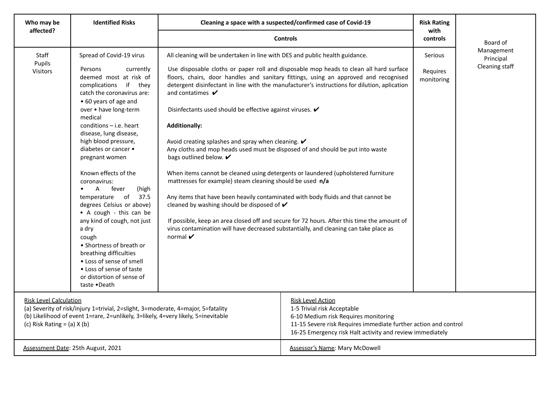| Who may be<br>affected?                                                                                                                                                                                                                                   | <b>Identified Risks</b>                                                                                                                                                                                                                                                                                                                                                                                                                                                                                                                                                                                                                                              | Cleaning a space with a suspected/confirmed case of Covid-19                                                                                                                                                                                                                                                                                                                                                                                                                                                                                                                                                                                                                                                                                                                                                               | <b>Risk Rating</b><br>with                                                                                                                                                                                                                                                                                                                                                    |                                   |                                           |
|-----------------------------------------------------------------------------------------------------------------------------------------------------------------------------------------------------------------------------------------------------------|----------------------------------------------------------------------------------------------------------------------------------------------------------------------------------------------------------------------------------------------------------------------------------------------------------------------------------------------------------------------------------------------------------------------------------------------------------------------------------------------------------------------------------------------------------------------------------------------------------------------------------------------------------------------|----------------------------------------------------------------------------------------------------------------------------------------------------------------------------------------------------------------------------------------------------------------------------------------------------------------------------------------------------------------------------------------------------------------------------------------------------------------------------------------------------------------------------------------------------------------------------------------------------------------------------------------------------------------------------------------------------------------------------------------------------------------------------------------------------------------------------|-------------------------------------------------------------------------------------------------------------------------------------------------------------------------------------------------------------------------------------------------------------------------------------------------------------------------------------------------------------------------------|-----------------------------------|-------------------------------------------|
|                                                                                                                                                                                                                                                           |                                                                                                                                                                                                                                                                                                                                                                                                                                                                                                                                                                                                                                                                      | <b>Controls</b>                                                                                                                                                                                                                                                                                                                                                                                                                                                                                                                                                                                                                                                                                                                                                                                                            |                                                                                                                                                                                                                                                                                                                                                                               |                                   | Board of                                  |
| Staff<br>Pupils<br><b>Visitors</b>                                                                                                                                                                                                                        | Spread of Covid-19 virus<br>Persons<br>currently<br>deemed most at risk of<br>complications if they<br>catch the coronavirus are:<br>• 60 years of age and<br>over . have long-term<br>medical<br>$conditions - i.e. heart$<br>disease, lung disease,<br>high blood pressure,<br>diabetes or cancer •<br>pregnant women<br>Known effects of the<br>coronavirus:<br>fever<br>(high<br>A<br>temperature of<br>37.5<br>degrees Celsius or above)<br>• A cough - this can be<br>any kind of cough, not just<br>a dry<br>cough<br>• Shortness of breath or<br>breathing difficulties<br>• Loss of sense of smell<br>• Loss of sense of taste<br>or distortion of sense of | All cleaning will be undertaken in line with DES and public health guidance.<br>and contatimes $\boldsymbol{\nu}$<br>Disinfectants used should be effective against viruses. ✔<br><b>Additionally:</b><br>Avoid creating splashes and spray when cleaning. $\mathbf{\check{v}}$<br>Any cloths and mop heads used must be disposed of and should be put into waste<br>bags outlined below. V<br>When items cannot be cleaned using detergents or laundered (upholstered furniture<br>mattresses for example) steam cleaning should be used n/a<br>Any items that have been heavily contaminated with body fluids and that cannot be<br>cleaned by washing should be disposed of $\mathbf{\checkmark}$<br>virus contamination will have decreased substantially, and cleaning can take place as<br>normal $\boldsymbol{\nu}$ | Use disposable cloths or paper roll and disposable mop heads to clean all hard surface<br>floors, chairs, door handles and sanitary fittings, using an approved and recognised<br>detergent disinfectant in line with the manufacturer's instructions for dilution, aplication<br>If possible, keep an area closed off and secure for 72 hours. After this time the amount of | Serious<br>Requires<br>monitoring | Management<br>Principal<br>Cleaning staff |
| taste .Death<br><b>Risk Level Calculation</b><br>(a) Severity of risk/injury 1=trivial, 2=slight, 3=moderate, 4=major, 5=fatality<br>(b) Likelihood of event 1=rare, 2=unlikely, 3=likely, 4=very likely, 5=inevitable<br>(c) Risk Rating = $(a)$ X $(b)$ |                                                                                                                                                                                                                                                                                                                                                                                                                                                                                                                                                                                                                                                                      | <b>Risk Level Action</b><br>1-5 Trivial risk Acceptable<br>6-10 Medium risk Requires monitoring<br>11-15 Severe risk Requires immediate further action and control<br>16-25 Emergency risk Halt activity and review immediately                                                                                                                                                                                                                                                                                                                                                                                                                                                                                                                                                                                            |                                                                                                                                                                                                                                                                                                                                                                               |                                   |                                           |
|                                                                                                                                                                                                                                                           | Assessment Date: 25th August, 2021                                                                                                                                                                                                                                                                                                                                                                                                                                                                                                                                                                                                                                   |                                                                                                                                                                                                                                                                                                                                                                                                                                                                                                                                                                                                                                                                                                                                                                                                                            | Assessor's Name: Mary McDowell                                                                                                                                                                                                                                                                                                                                                |                                   |                                           |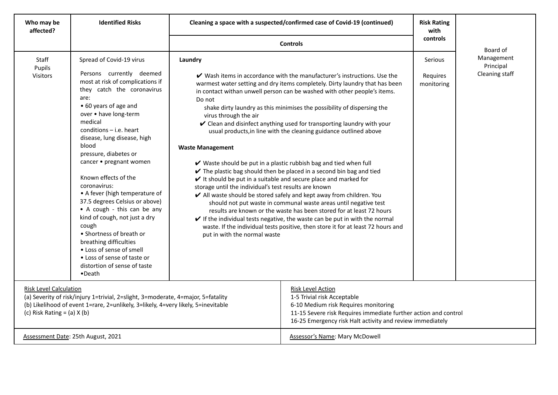| Who may be<br>affected?                                                                                                                                                                                                                   | <b>Identified Risks</b>                                                                                                                                                                                                                                                                                                                                                                                                                                                                                                                                                                                                                                                       |                                                                                                                                                                                                                                                                                                                                                                                                                                                                                                                                                                                                                                                                                                                                                                                                                                                                                                                                                                                                                                                                                                                                                                                                                                                                                                                                                                                                                                                                   |                                | <b>Risk Rating</b><br>with        |                                           |
|-------------------------------------------------------------------------------------------------------------------------------------------------------------------------------------------------------------------------------------------|-------------------------------------------------------------------------------------------------------------------------------------------------------------------------------------------------------------------------------------------------------------------------------------------------------------------------------------------------------------------------------------------------------------------------------------------------------------------------------------------------------------------------------------------------------------------------------------------------------------------------------------------------------------------------------|-------------------------------------------------------------------------------------------------------------------------------------------------------------------------------------------------------------------------------------------------------------------------------------------------------------------------------------------------------------------------------------------------------------------------------------------------------------------------------------------------------------------------------------------------------------------------------------------------------------------------------------------------------------------------------------------------------------------------------------------------------------------------------------------------------------------------------------------------------------------------------------------------------------------------------------------------------------------------------------------------------------------------------------------------------------------------------------------------------------------------------------------------------------------------------------------------------------------------------------------------------------------------------------------------------------------------------------------------------------------------------------------------------------------------------------------------------------------|--------------------------------|-----------------------------------|-------------------------------------------|
|                                                                                                                                                                                                                                           |                                                                                                                                                                                                                                                                                                                                                                                                                                                                                                                                                                                                                                                                               | <b>Controls</b>                                                                                                                                                                                                                                                                                                                                                                                                                                                                                                                                                                                                                                                                                                                                                                                                                                                                                                                                                                                                                                                                                                                                                                                                                                                                                                                                                                                                                                                   |                                |                                   | Board of                                  |
| Staff<br>Pupils<br><b>Visitors</b>                                                                                                                                                                                                        | Spread of Covid-19 virus<br>Persons currently deemed<br>most at risk of complications if<br>they catch the coronavirus<br>are:<br>• 60 years of age and<br>over . have long-term<br>medical<br>$conditions - i.e.$ heart<br>disease, lung disease, high<br>blood<br>pressure, diabetes or<br>cancer • pregnant women<br>Known effects of the<br>coronavirus:<br>• A fever (high temperature of<br>37.5 degrees Celsius or above)<br>• A cough - this can be any<br>kind of cough, not just a dry<br>cough<br>• Shortness of breath or<br>breathing difficulties<br>• Loss of sense of smell<br>• Loss of sense of taste or<br>distortion of sense of taste<br>$\bullet$ Death | Cleaning a space with a suspected/confirmed case of Covid-19 (continued)<br>Laundry<br>$\checkmark$ Wash items in accordance with the manufacturer's instructions. Use the<br>warmest water setting and dry items completely. Dirty laundry that has been<br>in contact withan unwell person can be washed with other people's items.<br>Do not<br>shake dirty laundry as this minimises the possibility of dispersing the<br>virus through the air<br>✔ Clean and disinfect anything used for transporting laundry with your<br>usual products, in line with the cleaning guidance outlined above<br><b>Waste Management</b><br>V Waste should be put in a plastic rubbish bag and tied when full<br>$\checkmark$ The plastic bag should then be placed in a second bin bag and tied<br>$\mathbf y$ It should be put in a suitable and secure place and marked for<br>storage until the individual's test results are known<br>✔ All waste should be stored safely and kept away from children. You<br>should not put waste in communal waste areas until negative test<br>results are known or the waste has been stored for at least 72 hours<br>$\checkmark$ If the individual tests negative, the waste can be put in with the normal<br>waste. If the individual tests positive, then store it for at least 72 hours and<br>put in with the normal waste<br><b>Risk Level Action</b><br>1-5 Trivial risk Acceptable<br>6-10 Medium risk Requires monitoring |                                | Serious<br>Requires<br>monitoring | Management<br>Principal<br>Cleaning staff |
| <b>Risk Level Calculation</b><br>(a) Severity of risk/injury 1=trivial, 2=slight, 3=moderate, 4=major, 5=fatality<br>(b) Likelihood of event 1=rare, 2=unlikely, 3=likely, 4=very likely, 5=inevitable<br>(c) Risk Rating = $(a)$ X $(b)$ |                                                                                                                                                                                                                                                                                                                                                                                                                                                                                                                                                                                                                                                                               | 11-15 Severe risk Requires immediate further action and control<br>16-25 Emergency risk Halt activity and review immediately                                                                                                                                                                                                                                                                                                                                                                                                                                                                                                                                                                                                                                                                                                                                                                                                                                                                                                                                                                                                                                                                                                                                                                                                                                                                                                                                      |                                |                                   |                                           |
|                                                                                                                                                                                                                                           | Assessment Date: 25th August, 2021                                                                                                                                                                                                                                                                                                                                                                                                                                                                                                                                                                                                                                            |                                                                                                                                                                                                                                                                                                                                                                                                                                                                                                                                                                                                                                                                                                                                                                                                                                                                                                                                                                                                                                                                                                                                                                                                                                                                                                                                                                                                                                                                   | Assessor's Name: Mary McDowell |                                   |                                           |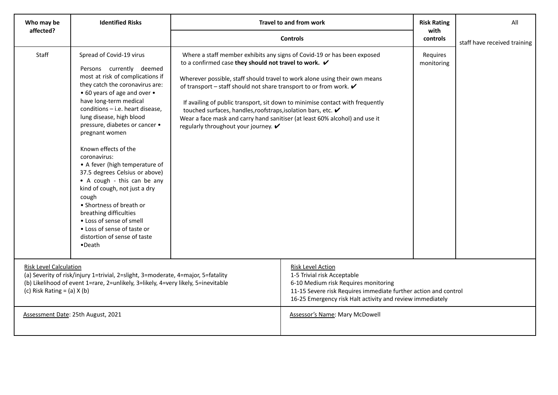| Who may be                                                                                                                                                                                                                                                                      | <b>Identified Risks</b>                                                                                                                                                                                                                                                                                                                                                                                                                                                                                                                                                                                                                                   |                                                                                                                                                                                                                                                                                                                                                    | Travel to and from work                                                                                                                                                                                                                | <b>Risk Rating</b>     | All                          |
|---------------------------------------------------------------------------------------------------------------------------------------------------------------------------------------------------------------------------------------------------------------------------------|-----------------------------------------------------------------------------------------------------------------------------------------------------------------------------------------------------------------------------------------------------------------------------------------------------------------------------------------------------------------------------------------------------------------------------------------------------------------------------------------------------------------------------------------------------------------------------------------------------------------------------------------------------------|----------------------------------------------------------------------------------------------------------------------------------------------------------------------------------------------------------------------------------------------------------------------------------------------------------------------------------------------------|----------------------------------------------------------------------------------------------------------------------------------------------------------------------------------------------------------------------------------------|------------------------|------------------------------|
| affected?                                                                                                                                                                                                                                                                       |                                                                                                                                                                                                                                                                                                                                                                                                                                                                                                                                                                                                                                                           |                                                                                                                                                                                                                                                                                                                                                    | <b>Controls</b>                                                                                                                                                                                                                        | with<br>controls       | staff have received training |
| Staff                                                                                                                                                                                                                                                                           | Spread of Covid-19 virus<br>Persons currently deemed<br>most at risk of complications if<br>they catch the coronavirus are:<br>• 60 years of age and over •<br>have long-term medical<br>conditions - i.e. heart disease,<br>lung disease, high blood<br>pressure, diabetes or cancer •<br>pregnant women<br>Known effects of the<br>coronavirus:<br>• A fever (high temperature of<br>37.5 degrees Celsius or above)<br>• A cough - this can be any<br>kind of cough, not just a dry<br>cough<br>• Shortness of breath or<br>breathing difficulties<br>• Loss of sense of smell<br>• Loss of sense of taste or<br>distortion of sense of taste<br>•Death | to a confirmed case they should not travel to work. $\checkmark$<br>of transport – staff should not share transport to or from work. $\mathbf{\checkmark}$<br>touched surfaces, handles, roofstraps, isolation bars, etc. ✔<br>Wear a face mask and carry hand sanitiser (at least 60% alcohol) and use it<br>regularly throughout your journey. ✔ | Where a staff member exhibits any signs of Covid-19 or has been exposed<br>Wherever possible, staff should travel to work alone using their own means<br>If availing of public transport, sit down to minimise contact with frequently | Requires<br>monitoring |                              |
| <b>Risk Level Calculation</b><br>(a) Severity of risk/injury 1=trivial, 2=slight, 3=moderate, 4=major, 5=fatality<br>(b) Likelihood of event 1=rare, 2=unlikely, 3=likely, 4=very likely, 5=inevitable<br>(c) Risk Rating = $(a)$ X $(b)$<br>Assessment Date: 25th August, 2021 |                                                                                                                                                                                                                                                                                                                                                                                                                                                                                                                                                                                                                                                           | <b>Risk Level Action</b><br>1-5 Trivial risk Acceptable<br>6-10 Medium risk Requires monitoring<br>11-15 Severe risk Requires immediate further action and control<br>16-25 Emergency risk Halt activity and review immediately<br><b>Assessor's Name: Mary McDowell</b>                                                                           |                                                                                                                                                                                                                                        |                        |                              |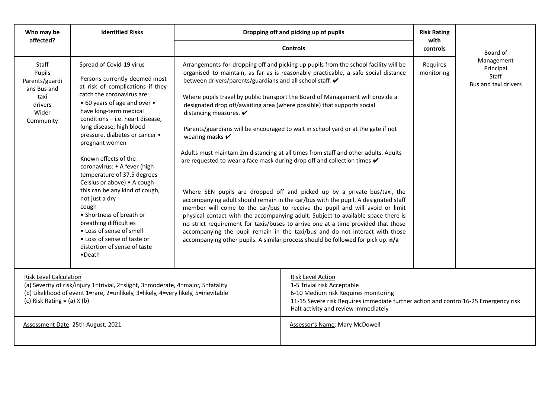| Who may be<br>affected?                                                                                                                                                                                                                   | <b>Identified Risks</b>                                                                                                                                                                                                                                                                                                                                                                                                                                                                                                                                                                                                                                            |                                                                                                                                                                                                                                                                                                      | Dropping off and picking up of pupils                                                                                                                                                                                                                                                                                                                                                                                                                                                                                                                                                                                                                                                                                                                                                                                                                                                                                                                                                                                                     | <b>Risk Rating</b><br>with |                                                          |
|-------------------------------------------------------------------------------------------------------------------------------------------------------------------------------------------------------------------------------------------|--------------------------------------------------------------------------------------------------------------------------------------------------------------------------------------------------------------------------------------------------------------------------------------------------------------------------------------------------------------------------------------------------------------------------------------------------------------------------------------------------------------------------------------------------------------------------------------------------------------------------------------------------------------------|------------------------------------------------------------------------------------------------------------------------------------------------------------------------------------------------------------------------------------------------------------------------------------------------------|-------------------------------------------------------------------------------------------------------------------------------------------------------------------------------------------------------------------------------------------------------------------------------------------------------------------------------------------------------------------------------------------------------------------------------------------------------------------------------------------------------------------------------------------------------------------------------------------------------------------------------------------------------------------------------------------------------------------------------------------------------------------------------------------------------------------------------------------------------------------------------------------------------------------------------------------------------------------------------------------------------------------------------------------|----------------------------|----------------------------------------------------------|
|                                                                                                                                                                                                                                           |                                                                                                                                                                                                                                                                                                                                                                                                                                                                                                                                                                                                                                                                    |                                                                                                                                                                                                                                                                                                      | <b>Controls</b>                                                                                                                                                                                                                                                                                                                                                                                                                                                                                                                                                                                                                                                                                                                                                                                                                                                                                                                                                                                                                           | controls                   | Board of                                                 |
| Staff<br>Pupils<br>Parents/guardi<br>ans Bus and<br>taxi<br>drivers<br>Wider<br>Community                                                                                                                                                 | Spread of Covid-19 virus<br>Persons currently deemed most<br>at risk of complications if they<br>catch the coronavirus are:<br>• 60 years of age and over •<br>have long-term medical<br>conditions - i.e. heart disease,<br>lung disease, high blood<br>pressure, diabetes or cancer .<br>pregnant women<br>Known effects of the<br>coronavirus: • A fever (high<br>temperature of 37.5 degrees<br>Celsius or above) . A cough -<br>this can be any kind of cough,<br>not just a dry<br>cough<br>• Shortness of breath or<br>breathing difficulties<br>• Loss of sense of smell<br>• Loss of sense of taste or<br>distortion of sense of taste<br>$\bullet$ Death | between drivers/parents/guardians and all school staff. V<br>designated drop off/awaiting area (where possible) that supports social<br>distancing measures. $\boldsymbol{\checkmark}$<br>wearing masks $\boldsymbol{v}$<br>are requested to wear a face mask during drop off and collection times v | Arrangements for dropping off and picking up pupils from the school facility will be<br>organised to maintain, as far as is reasonably practicable, a safe social distance<br>Where pupils travel by public transport the Board of Management will provide a<br>Parents/guardians will be encouraged to wait in school yard or at the gate if not<br>Adults must maintain 2m distancing at all times from staff and other adults. Adults<br>Where SEN pupils are dropped off and picked up by a private bus/taxi, the<br>accompanying adult should remain in the car/bus with the pupil. A designated staff<br>member will come to the car/bus to receive the pupil and will avoid or limit<br>physical contact with the accompanying adult. Subject to available space there is<br>no strict requirement for taxis/buses to arrive one at a time provided that those<br>accompanying the pupil remain in the taxi/bus and do not interact with those<br>accompanying other pupils. A similar process should be followed for pick up. n/a | Requires<br>monitoring     | Management<br>Principal<br>Staff<br>Bus and taxi drivers |
| <b>Risk Level Calculation</b><br>(a) Severity of risk/injury 1=trivial, 2=slight, 3=moderate, 4=major, 5=fatality<br>(b) Likelihood of event 1=rare, 2=unlikely, 3=likely, 4=very likely, 5=inevitable<br>(c) Risk Rating = $(a)$ X $(b)$ |                                                                                                                                                                                                                                                                                                                                                                                                                                                                                                                                                                                                                                                                    | <b>Risk Level Action</b><br>1-5 Trivial risk Acceptable<br>6-10 Medium risk Requires monitoring<br>11-15 Severe risk Requires immediate further action and control16-25 Emergency risk<br>Halt activity and review immediately                                                                       |                                                                                                                                                                                                                                                                                                                                                                                                                                                                                                                                                                                                                                                                                                                                                                                                                                                                                                                                                                                                                                           |                            |                                                          |
|                                                                                                                                                                                                                                           | Assessment Date: 25th August, 2021                                                                                                                                                                                                                                                                                                                                                                                                                                                                                                                                                                                                                                 |                                                                                                                                                                                                                                                                                                      | Assessor's Name: Mary McDowell                                                                                                                                                                                                                                                                                                                                                                                                                                                                                                                                                                                                                                                                                                                                                                                                                                                                                                                                                                                                            |                            |                                                          |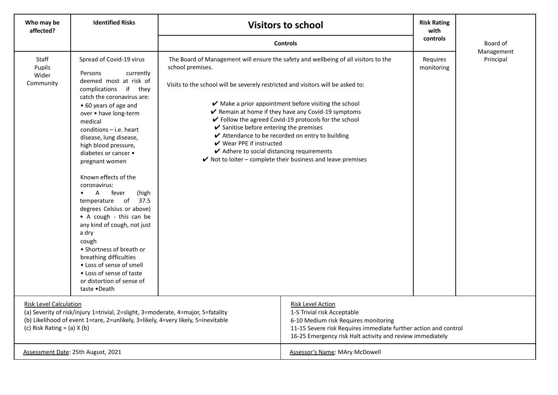| Who may be<br>affected?                                                                                                                                                                                                                   | <b>Identified Risks</b>                                                                                                                                                                                                                                                                                                                                                                                                                                                                                                                                                                                                                                                                              |                                                                                                                                                                                                                                                                                                                                                          | <b>Visitors to school</b>                                                                                                                                                                                                                                                                                              | <b>Risk Rating</b><br>with<br>controls |           |
|-------------------------------------------------------------------------------------------------------------------------------------------------------------------------------------------------------------------------------------------|------------------------------------------------------------------------------------------------------------------------------------------------------------------------------------------------------------------------------------------------------------------------------------------------------------------------------------------------------------------------------------------------------------------------------------------------------------------------------------------------------------------------------------------------------------------------------------------------------------------------------------------------------------------------------------------------------|----------------------------------------------------------------------------------------------------------------------------------------------------------------------------------------------------------------------------------------------------------------------------------------------------------------------------------------------------------|------------------------------------------------------------------------------------------------------------------------------------------------------------------------------------------------------------------------------------------------------------------------------------------------------------------------|----------------------------------------|-----------|
|                                                                                                                                                                                                                                           |                                                                                                                                                                                                                                                                                                                                                                                                                                                                                                                                                                                                                                                                                                      | <b>Controls</b>                                                                                                                                                                                                                                                                                                                                          |                                                                                                                                                                                                                                                                                                                        | Board of<br>Management                 |           |
| <b>Staff</b><br>Pupils<br>Wider<br>Community                                                                                                                                                                                              | Spread of Covid-19 virus<br>Persons<br>currently<br>deemed most at risk of<br>complications<br>if they<br>catch the coronavirus are:<br>• 60 years of age and<br>over . have long-term<br>medical<br>$conditions - i.e. heart$<br>disease, lung disease,<br>high blood pressure,<br>diabetes or cancer •<br>pregnant women<br>Known effects of the<br>coronavirus:<br>fever<br>A<br>(high<br>$\bullet$<br>temperature of<br>37.5<br>degrees Celsius or above)<br>• A cough - this can be<br>any kind of cough, not just<br>a dry<br>cough<br>• Shortness of breath or<br>breathing difficulties<br>• Loss of sense of smell<br>• Loss of sense of taste<br>or distortion of sense of<br>taste .Death | The Board of Management will ensure the safety and wellbeing of all visitors to the<br>school premises.<br>Visits to the school will be severely restricted and visitors will be asked to:<br>$\checkmark$ Sanitise before entering the premises<br>$\mathbf v$ Wear PPE if instructed<br>$\blacktriangleright$ Adhere to social distancing requirements | $\blacktriangleright$ Make a prior appointment before visiting the school<br>Remain at home if they have any Covid-19 symptoms<br>✔ Follow the agreed Covid-19 protocols for the school<br>✔ Attendance to be recorded on entry to building<br>$\checkmark$ Not to loiter – complete their business and leave premises | Requires<br>monitoring                 | Principal |
| <b>Risk Level Calculation</b><br>(a) Severity of risk/injury 1=trivial, 2=slight, 3=moderate, 4=major, 5=fatality<br>(b) Likelihood of event 1=rare, 2=unlikely, 3=likely, 4=very likely, 5=inevitable<br>(c) Risk Rating = $(a)$ X $(b)$ |                                                                                                                                                                                                                                                                                                                                                                                                                                                                                                                                                                                                                                                                                                      | <b>Risk Level Action</b><br>1-5 Trivial risk Acceptable<br>6-10 Medium risk Requires monitoring<br>11-15 Severe risk Requires immediate further action and control<br>16-25 Emergency risk Halt activity and review immediately                                                                                                                          |                                                                                                                                                                                                                                                                                                                        |                                        |           |
|                                                                                                                                                                                                                                           | Assessment Date: 25th August, 2021                                                                                                                                                                                                                                                                                                                                                                                                                                                                                                                                                                                                                                                                   |                                                                                                                                                                                                                                                                                                                                                          | Assessor's Name: MAry McDowell                                                                                                                                                                                                                                                                                         |                                        |           |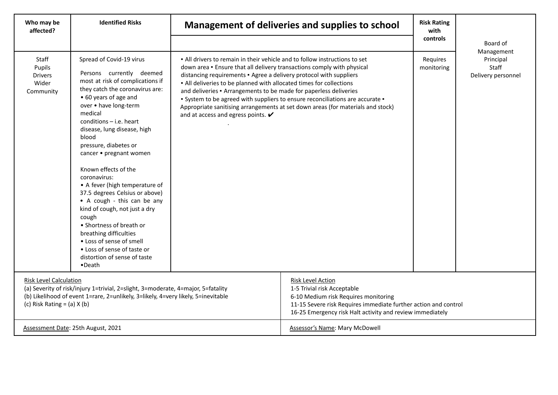| Who may be<br>affected?                                                                                                                                                                                                                   | <b>Identified Risks</b>                                                                                                                                                                                                                                                                                                                                                                                                                                                                                                                                                                                                                                                    |                                                                                                                                                                                                                                                                                                                                                                                                                         | Management of deliveries and supplies to school                                                                                                                  | <b>Risk Rating</b><br>with<br>controls | Board of                                                      |
|-------------------------------------------------------------------------------------------------------------------------------------------------------------------------------------------------------------------------------------------|----------------------------------------------------------------------------------------------------------------------------------------------------------------------------------------------------------------------------------------------------------------------------------------------------------------------------------------------------------------------------------------------------------------------------------------------------------------------------------------------------------------------------------------------------------------------------------------------------------------------------------------------------------------------------|-------------------------------------------------------------------------------------------------------------------------------------------------------------------------------------------------------------------------------------------------------------------------------------------------------------------------------------------------------------------------------------------------------------------------|------------------------------------------------------------------------------------------------------------------------------------------------------------------|----------------------------------------|---------------------------------------------------------------|
| Staff<br>Pupils<br><b>Drivers</b><br>Wider<br>Community                                                                                                                                                                                   | Spread of Covid-19 virus<br>Persons currently deemed<br>most at risk of complications if<br>they catch the coronavirus are:<br>• 60 years of age and<br>over . have long-term<br>medical<br>conditions $-$ i.e. heart<br>disease, lung disease, high<br>blood<br>pressure, diabetes or<br>cancer • pregnant women<br>Known effects of the<br>coronavirus:<br>• A fever (high temperature of<br>37.5 degrees Celsius or above)<br>• A cough - this can be any<br>kind of cough, not just a dry<br>cough<br>• Shortness of breath or<br>breathing difficulties<br>• Loss of sense of smell<br>• Loss of sense of taste or<br>distortion of sense of taste<br>$\bullet$ Death | . All drivers to remain in their vehicle and to follow instructions to set<br>down area . Ensure that all delivery transactions comply with physical<br>distancing requirements . Agree a delivery protocol with suppliers<br>. All deliveries to be planned with allocated times for collections<br>and deliveries · Arrangements to be made for paperless deliveries<br>and at access and egress points. $\checkmark$ | . System to be agreed with suppliers to ensure reconciliations are accurate .<br>Appropriate sanitising arrangements at set down areas (for materials and stock) | Requires<br>monitoring                 | Management<br>Principal<br><b>Staff</b><br>Delivery personnel |
| <b>Risk Level Calculation</b><br>(a) Severity of risk/injury 1=trivial, 2=slight, 3=moderate, 4=major, 5=fatality<br>(b) Likelihood of event 1=rare, 2=unlikely, 3=likely, 4=very likely, 5=inevitable<br>(c) Risk Rating = $(a)$ X $(b)$ |                                                                                                                                                                                                                                                                                                                                                                                                                                                                                                                                                                                                                                                                            | <b>Risk Level Action</b><br>1-5 Trivial risk Acceptable<br>6-10 Medium risk Requires monitoring<br>11-15 Severe risk Requires immediate further action and control<br>16-25 Emergency risk Halt activity and review immediately                                                                                                                                                                                         |                                                                                                                                                                  |                                        |                                                               |
|                                                                                                                                                                                                                                           | Assessment Date: 25th August, 2021                                                                                                                                                                                                                                                                                                                                                                                                                                                                                                                                                                                                                                         |                                                                                                                                                                                                                                                                                                                                                                                                                         | Assessor's Name: Mary McDowell                                                                                                                                   |                                        |                                                               |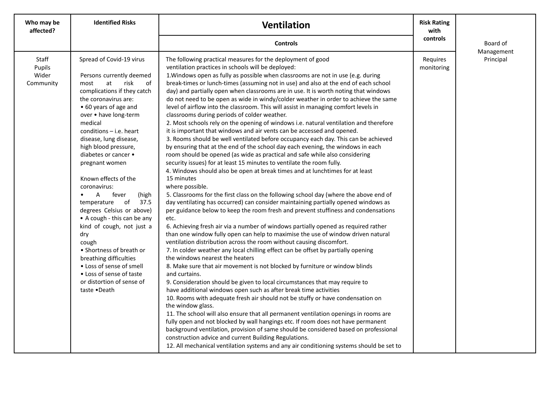| Who may be<br>affected?               | <b>Identified Risks</b>                                                                                                                                                                                                                                                                                                                                                                                                                                                                                                                                                                                                                                                                                         | <b>Ventilation</b>                                                                                                                                                                                                                                                                                                                                                                                                                                                                                                                                                                                                                                                                                                                                                                                                                                                                                                                                                                                                                                                                                                                                                                                                                                                                                                                                                                                                                                                                                                                                                                                                                                                                                                                                                                                                                                                                                                                                                                                                                                                                                                                                                                                                                                                                                                                                                                                                                                                                                                                                                                                                                                                               | <b>Risk Rating</b><br>with |                        |
|---------------------------------------|-----------------------------------------------------------------------------------------------------------------------------------------------------------------------------------------------------------------------------------------------------------------------------------------------------------------------------------------------------------------------------------------------------------------------------------------------------------------------------------------------------------------------------------------------------------------------------------------------------------------------------------------------------------------------------------------------------------------|----------------------------------------------------------------------------------------------------------------------------------------------------------------------------------------------------------------------------------------------------------------------------------------------------------------------------------------------------------------------------------------------------------------------------------------------------------------------------------------------------------------------------------------------------------------------------------------------------------------------------------------------------------------------------------------------------------------------------------------------------------------------------------------------------------------------------------------------------------------------------------------------------------------------------------------------------------------------------------------------------------------------------------------------------------------------------------------------------------------------------------------------------------------------------------------------------------------------------------------------------------------------------------------------------------------------------------------------------------------------------------------------------------------------------------------------------------------------------------------------------------------------------------------------------------------------------------------------------------------------------------------------------------------------------------------------------------------------------------------------------------------------------------------------------------------------------------------------------------------------------------------------------------------------------------------------------------------------------------------------------------------------------------------------------------------------------------------------------------------------------------------------------------------------------------------------------------------------------------------------------------------------------------------------------------------------------------------------------------------------------------------------------------------------------------------------------------------------------------------------------------------------------------------------------------------------------------------------------------------------------------------------------------------------------------|----------------------------|------------------------|
|                                       |                                                                                                                                                                                                                                                                                                                                                                                                                                                                                                                                                                                                                                                                                                                 | <b>Controls</b>                                                                                                                                                                                                                                                                                                                                                                                                                                                                                                                                                                                                                                                                                                                                                                                                                                                                                                                                                                                                                                                                                                                                                                                                                                                                                                                                                                                                                                                                                                                                                                                                                                                                                                                                                                                                                                                                                                                                                                                                                                                                                                                                                                                                                                                                                                                                                                                                                                                                                                                                                                                                                                                                  | controls                   | Board of<br>Management |
| Staff<br>Pupils<br>Wider<br>Community | Spread of Covid-19 virus<br>Persons currently deemed<br>risk<br>at<br>of<br>most<br>complications if they catch<br>the coronavirus are:<br>• 60 years of age and<br>over . have long-term<br>medical<br>$conditions - i.e. heart$<br>disease, lung disease,<br>high blood pressure,<br>diabetes or cancer •<br>pregnant women<br>Known effects of the<br>coronavirus:<br>fever<br>$\mathsf{A}$<br>(high<br>$\bullet$<br>temperature of 37.5<br>degrees Celsius or above)<br>• A cough - this can be any<br>kind of cough, not just a<br>dry<br>cough<br>• Shortness of breath or<br>breathing difficulties<br>• Loss of sense of smell<br>• Loss of sense of taste<br>or distortion of sense of<br>taste •Death | The following practical measures for the deployment of good<br>ventilation practices in schools will be deployed:<br>1. Windows open as fully as possible when classrooms are not in use (e.g. during<br>break-times or lunch-times (assuming not in use) and also at the end of each school<br>day) and partially open when classrooms are in use. It is worth noting that windows<br>do not need to be open as wide in windy/colder weather in order to achieve the same<br>level of airflow into the classroom. This will assist in managing comfort levels in<br>classrooms during periods of colder weather.<br>2. Most schools rely on the opening of windows i.e. natural ventilation and therefore<br>it is important that windows and air vents can be accessed and opened.<br>3. Rooms should be well ventilated before occupancy each day. This can be achieved<br>by ensuring that at the end of the school day each evening, the windows in each<br>room should be opened (as wide as practical and safe while also considering<br>security issues) for at least 15 minutes to ventilate the room fully.<br>4. Windows should also be open at break times and at lunchtimes for at least<br>15 minutes<br>where possible.<br>5. Classrooms for the first class on the following school day (where the above end of<br>day ventilating has occurred) can consider maintaining partially opened windows as<br>per guidance below to keep the room fresh and prevent stuffiness and condensations<br>etc.<br>6. Achieving fresh air via a number of windows partially opened as required rather<br>than one window fully open can help to maximise the use of window driven natural<br>ventilation distribution across the room without causing discomfort.<br>7. In colder weather any local chilling effect can be offset by partially opening<br>the windows nearest the heaters<br>8. Make sure that air movement is not blocked by furniture or window blinds<br>and curtains.<br>9. Consideration should be given to local circumstances that may require to<br>have additional windows open such as after break time activities<br>10. Rooms with adequate fresh air should not be stuffy or have condensation on<br>the window glass.<br>11. The school will also ensure that all permanent ventilation openings in rooms are<br>fully open and not blocked by wall hangings etc. If room does not have permanent<br>background ventilation, provision of same should be considered based on professional<br>construction advice and current Building Regulations.<br>12. All mechanical ventilation systems and any air conditioning systems should be set to | Requires<br>monitoring     | Principal              |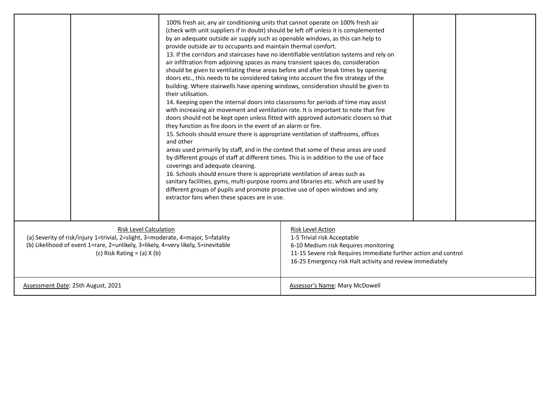|                                                                                                                                                                                                                                           |  | 100% fresh air, any air conditioning units that cannot operate on 100% fresh air<br>(check with unit suppliers if in doubt) should be left off unless it is complemented<br>by an adequate outside air supply such as openable windows, as this can help to<br>provide outside air to occupants and maintain thermal comfort.<br>13. If the corridors and staircases have no identifiable ventilation systems and rely on<br>air infiltration from adjoining spaces as many transient spaces do, consideration<br>should be given to ventilating these areas before and after break times by opening<br>doors etc., this needs to be considered taking into account the fire strategy of the<br>building. Where stairwells have opening windows, consideration should be given to<br>their utilisation.<br>14. Keeping open the internal doors into classrooms for periods of time may assist<br>with increasing air movement and ventilation rate. It is important to note that fire<br>doors should not be kept open unless fitted with approved automatic closers so that<br>they function as fire doors in the event of an alarm or fire.<br>15. Schools should ensure there is appropriate ventilation of staffrooms, offices<br>and other<br>areas used primarily by staff, and in the context that some of these areas are used<br>by different groups of staff at different times. This is in addition to the use of face<br>coverings and adequate cleaning.<br>16. Schools should ensure there is appropriate ventilation of areas such as<br>sanitary facilities, gyms, multi-purpose rooms and libraries etc. which are used by<br>different groups of pupils and promote proactive use of open windows and any<br>extractor fans when these spaces are in use. |                                                                                                                                                                                                                                 |  |
|-------------------------------------------------------------------------------------------------------------------------------------------------------------------------------------------------------------------------------------------|--|-----------------------------------------------------------------------------------------------------------------------------------------------------------------------------------------------------------------------------------------------------------------------------------------------------------------------------------------------------------------------------------------------------------------------------------------------------------------------------------------------------------------------------------------------------------------------------------------------------------------------------------------------------------------------------------------------------------------------------------------------------------------------------------------------------------------------------------------------------------------------------------------------------------------------------------------------------------------------------------------------------------------------------------------------------------------------------------------------------------------------------------------------------------------------------------------------------------------------------------------------------------------------------------------------------------------------------------------------------------------------------------------------------------------------------------------------------------------------------------------------------------------------------------------------------------------------------------------------------------------------------------------------------------------------------------------------------------------------------------------------------------------------------|---------------------------------------------------------------------------------------------------------------------------------------------------------------------------------------------------------------------------------|--|
| <b>Risk Level Calculation</b><br>(a) Severity of risk/injury 1=trivial, 2=slight, 3=moderate, 4=major, 5=fatality<br>(b) Likelihood of event 1=rare, 2=unlikely, 3=likely, 4=very likely, 5=inevitable<br>(c) Risk Rating = $(a)$ X $(b)$ |  |                                                                                                                                                                                                                                                                                                                                                                                                                                                                                                                                                                                                                                                                                                                                                                                                                                                                                                                                                                                                                                                                                                                                                                                                                                                                                                                                                                                                                                                                                                                                                                                                                                                                                                                                                                             | <b>Risk Level Action</b><br>1-5 Trivial risk Acceptable<br>6-10 Medium risk Requires monitoring<br>11-15 Severe risk Requires immediate further action and control<br>16-25 Emergency risk Halt activity and review immediately |  |
| Assessment Date: 25th August, 2021                                                                                                                                                                                                        |  |                                                                                                                                                                                                                                                                                                                                                                                                                                                                                                                                                                                                                                                                                                                                                                                                                                                                                                                                                                                                                                                                                                                                                                                                                                                                                                                                                                                                                                                                                                                                                                                                                                                                                                                                                                             | <b>Assessor's Name: Mary McDowell</b>                                                                                                                                                                                           |  |